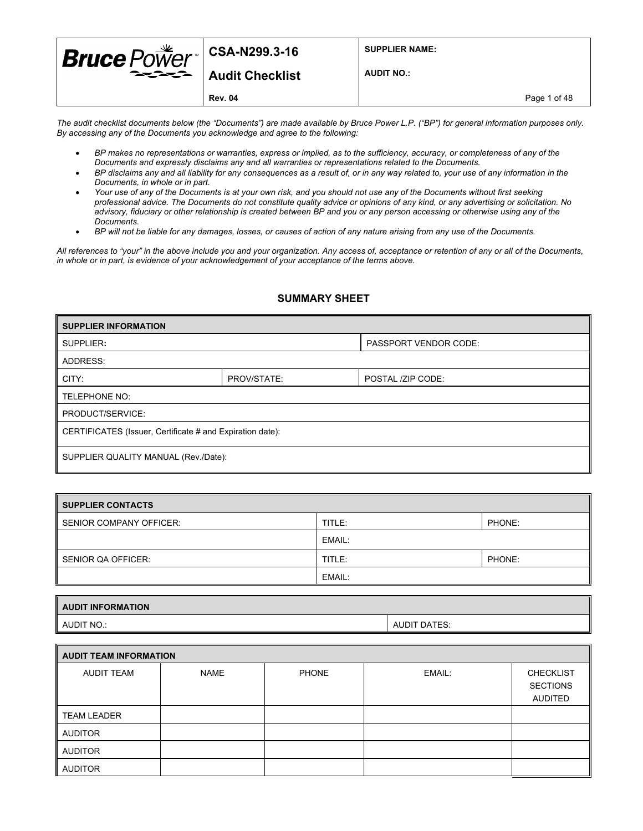| <b>Bruce</b> $PoWer$ <sup> csa-N299.3-16</sup> |                 | <b>SUPPLIER NAME:</b> |              |
|------------------------------------------------|-----------------|-----------------------|--------------|
|                                                | Audit Checklist | <b>AUDIT NO.:</b>     |              |
|                                                | <b>Rev. 04</b>  |                       | Page 1 of 48 |

*The audit checklist documents below (the "Documents") are made available by Bruce Power L.P. ("BP") for general information purposes only. By accessing any of the Documents you acknowledge and agree to the following:* 

- *BP makes no representations or warranties, express or implied, as to the sufficiency, accuracy, or completeness of any of the Documents and expressly disclaims any and all warranties or representations related to the Documents.*
- *BP disclaims any and all liability for any consequences as a result of, or in any way related to, your use of any information in the Documents, in whole or in part.*
- *Your use of any of the Documents is at your own risk, and you should not use any of the Documents without first seeking professional advice. The Documents do not constitute quality advice or opinions of any kind, or any advertising or solicitation. No advisory, fiduciary or other relationship is created between BP and you or any person accessing or otherwise using any of the Documents.*
- *BP will not be liable for any damages, losses, or causes of action of any nature arising from any use of the Documents.*

*All references to "your" in the above include you and your organization. Any access of, acceptance or retention of any or all of the Documents, in whole or in part, is evidence of your acknowledgement of your acceptance of the terms above.*

#### **SUMMARY SHEET**

| <b>SUPPLIER INFORMATION</b>                               |  |                              |  |  |
|-----------------------------------------------------------|--|------------------------------|--|--|
| SUPPLIER:                                                 |  | <b>PASSPORT VENDOR CODE:</b> |  |  |
| ADDRESS:                                                  |  |                              |  |  |
| CITY:<br>PROV/STATE:<br>POSTAL /ZIP CODE:                 |  |                              |  |  |
| TELEPHONE NO:                                             |  |                              |  |  |
| PRODUCT/SERVICE:                                          |  |                              |  |  |
| CERTIFICATES (Issuer, Certificate # and Expiration date): |  |                              |  |  |
| SUPPLIER QUALITY MANUAL (Rev./Date):                      |  |                              |  |  |

| SUPPLIER CONTACTS       |        |        |  |
|-------------------------|--------|--------|--|
| SENIOR COMPANY OFFICER: | TITLE: | PHONE: |  |
|                         | EMAIL: |        |  |
| SENIOR QA OFFICER:      | TITLE: | PHONE: |  |
|                         | EMAIL: |        |  |

| <b>AUDIT INFORMATION</b> |                     |  |
|--------------------------|---------------------|--|
| AUDIT NO.:               | <b>AUDIT DATES:</b> |  |

| <b>AUDIT TEAM INFORMATION</b> |             |              |        |                                                       |  |
|-------------------------------|-------------|--------------|--------|-------------------------------------------------------|--|
| AUDIT TEAM                    | <b>NAME</b> | <b>PHONE</b> | EMAIL: | <b>CHECKLIST</b><br><b>SECTIONS</b><br><b>AUDITED</b> |  |
| <b>TEAM LEADER</b>            |             |              |        |                                                       |  |
| <b>AUDITOR</b>                |             |              |        |                                                       |  |
| <b>AUDITOR</b>                |             |              |        |                                                       |  |
| <b>AUDITOR</b>                |             |              |        |                                                       |  |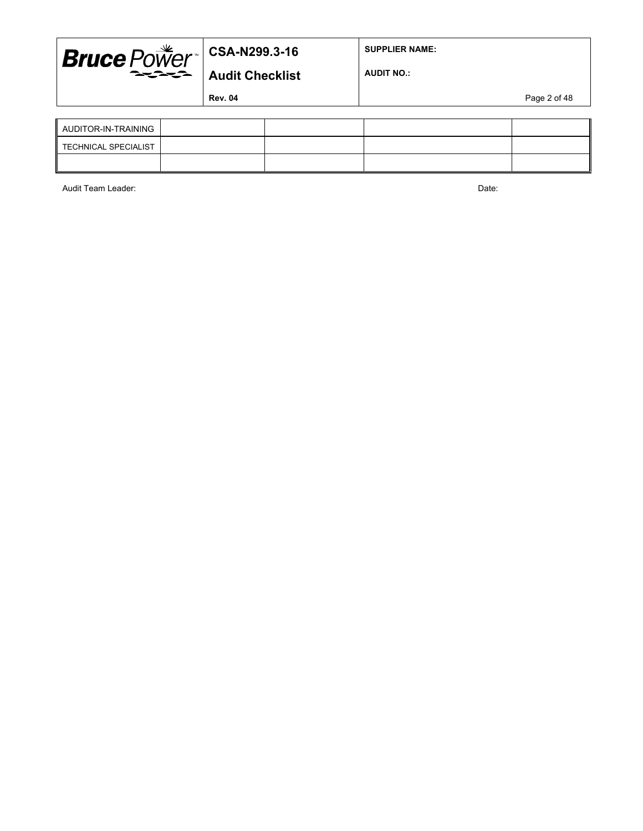

**SUPPLIER NAME:**

**AUDIT NO.:**

**Rev. 04** Page 2 of 48

| AUDITOR-IN-TRAINING  |  |  |
|----------------------|--|--|
| TECHNICAL SPECIALIST |  |  |
|                      |  |  |

Audit Team Leader: Date: Date: Date: Date: Date: Date: Date: Date: Date: Date: Date: Date: Date: Date: Date: Date: Date: Date: Date: Date: Date: Date: Date: Date: Date: Date: Date: Date: Date: Date: Date: Date: Date: Date: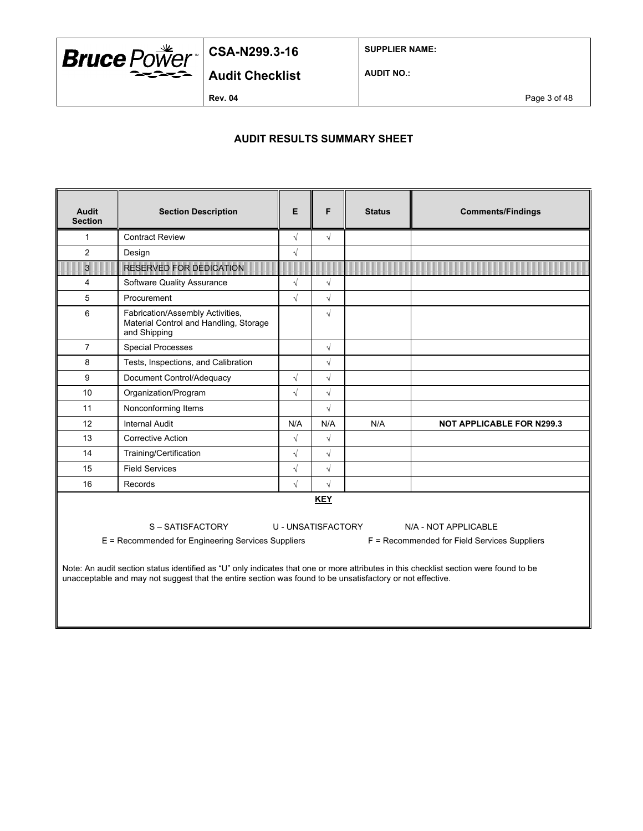

**SUPPLIER NAME:**

**AUDIT NO.:**

**Audit Checklist**

**Rev. 04** Page 3 of 48

### **AUDIT RESULTS SUMMARY SHEET**

| Audit<br><b>Section</b>                                                                                                                                                                                                                                                                                                                                                                                                                  | F<br>E<br><b>Section Description</b><br><b>Status</b>                                      |            |            | <b>Comments/Findings</b> |                                  |
|------------------------------------------------------------------------------------------------------------------------------------------------------------------------------------------------------------------------------------------------------------------------------------------------------------------------------------------------------------------------------------------------------------------------------------------|--------------------------------------------------------------------------------------------|------------|------------|--------------------------|----------------------------------|
| 1                                                                                                                                                                                                                                                                                                                                                                                                                                        | <b>Contract Review</b>                                                                     | $\sqrt{}$  | $\sqrt{}$  |                          |                                  |
| 2                                                                                                                                                                                                                                                                                                                                                                                                                                        | Design                                                                                     | $\sqrt{2}$ |            |                          |                                  |
| $\overline{3}$                                                                                                                                                                                                                                                                                                                                                                                                                           | <b>RESERVED FOR DEDICATION</b>                                                             |            |            |                          |                                  |
| 4                                                                                                                                                                                                                                                                                                                                                                                                                                        | Software Quality Assurance                                                                 | $\sqrt{}$  | $\sqrt{}$  |                          |                                  |
| 5                                                                                                                                                                                                                                                                                                                                                                                                                                        | Procurement                                                                                | $\sqrt{}$  | $\sqrt{}$  |                          |                                  |
| 6                                                                                                                                                                                                                                                                                                                                                                                                                                        | Fabrication/Assembly Activities,<br>Material Control and Handling, Storage<br>and Shipping |            | $\sqrt{2}$ |                          |                                  |
| $\overline{7}$                                                                                                                                                                                                                                                                                                                                                                                                                           | <b>Special Processes</b>                                                                   |            | $\sqrt{}$  |                          |                                  |
| 8                                                                                                                                                                                                                                                                                                                                                                                                                                        | Tests, Inspections, and Calibration                                                        |            | $\sqrt{}$  |                          |                                  |
| 9                                                                                                                                                                                                                                                                                                                                                                                                                                        | Document Control/Adequacy                                                                  | $\sqrt{}$  | $\sqrt{ }$ |                          |                                  |
| 10                                                                                                                                                                                                                                                                                                                                                                                                                                       | Organization/Program                                                                       | $\sqrt{2}$ | $\sqrt{}$  |                          |                                  |
| 11                                                                                                                                                                                                                                                                                                                                                                                                                                       | Nonconforming Items                                                                        |            | $\sqrt{2}$ |                          |                                  |
| 12                                                                                                                                                                                                                                                                                                                                                                                                                                       | <b>Internal Audit</b>                                                                      | N/A        | N/A        | N/A                      | <b>NOT APPLICABLE FOR N299.3</b> |
| 13                                                                                                                                                                                                                                                                                                                                                                                                                                       | <b>Corrective Action</b>                                                                   | $\sqrt{}$  | $\sqrt{}$  |                          |                                  |
| 14                                                                                                                                                                                                                                                                                                                                                                                                                                       | Training/Certification                                                                     | $\sqrt{}$  | $\sqrt{2}$ |                          |                                  |
| 15                                                                                                                                                                                                                                                                                                                                                                                                                                       | <b>Field Services</b>                                                                      | $\sqrt{}$  | $\sqrt{}$  |                          |                                  |
| 16                                                                                                                                                                                                                                                                                                                                                                                                                                       | Records                                                                                    | $\sqrt{}$  | $\sqrt{2}$ |                          |                                  |
| <b>KEY</b><br>S – SATISFACTORY<br>U - UNSATISFACTORY<br>N/A - NOT APPLICABLE<br>E = Recommended for Engineering Services Suppliers<br>F = Recommended for Field Services Suppliers<br>Note: An audit section status identified as "U" only indicates that one or more attributes in this checklist section were found to be<br>unacceptable and may not suggest that the entire section was found to be unsatisfactory or not effective. |                                                                                            |            |            |                          |                                  |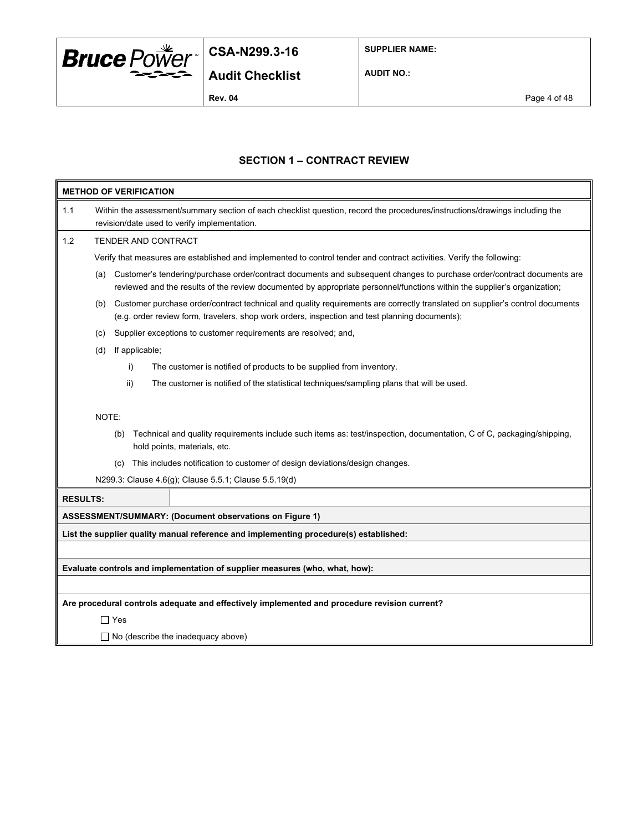

**SUPPLIER NAME:**

**AUDIT NO.:**

**Rev. 04** Page 4 of 48

### **SECTION 1 – CONTRACT REVIEW**

|                 |                                                                                                                                                                             | <b>METHOD OF VERIFICATION</b> |                                                                                                                                                                                                                                                    |  |  |
|-----------------|-----------------------------------------------------------------------------------------------------------------------------------------------------------------------------|-------------------------------|----------------------------------------------------------------------------------------------------------------------------------------------------------------------------------------------------------------------------------------------------|--|--|
| 1.1             | Within the assessment/summary section of each checklist question, record the procedures/instructions/drawings including the<br>revision/date used to verify implementation. |                               |                                                                                                                                                                                                                                                    |  |  |
| 1.2             |                                                                                                                                                                             |                               | TENDER AND CONTRACT                                                                                                                                                                                                                                |  |  |
|                 |                                                                                                                                                                             |                               | Verify that measures are established and implemented to control tender and contract activities. Verify the following:                                                                                                                              |  |  |
|                 | (a)                                                                                                                                                                         |                               | Customer's tendering/purchase order/contract documents and subsequent changes to purchase order/contract documents are<br>reviewed and the results of the review documented by appropriate personnel/functions within the supplier's organization; |  |  |
|                 | (b)                                                                                                                                                                         |                               | Customer purchase order/contract technical and quality requirements are correctly translated on supplier's control documents<br>(e.g. order review form, travelers, shop work orders, inspection and test planning documents);                     |  |  |
|                 | (C)                                                                                                                                                                         |                               | Supplier exceptions to customer requirements are resolved; and,                                                                                                                                                                                    |  |  |
|                 | (d)                                                                                                                                                                         | If applicable;                |                                                                                                                                                                                                                                                    |  |  |
|                 |                                                                                                                                                                             | i)                            | The customer is notified of products to be supplied from inventory.                                                                                                                                                                                |  |  |
|                 |                                                                                                                                                                             | ii)                           | The customer is notified of the statistical techniques/sampling plans that will be used.                                                                                                                                                           |  |  |
|                 | NOTE:                                                                                                                                                                       | (b)                           | Technical and quality requirements include such items as: test/inspection, documentation, C of C, packaging/shipping,<br>hold points, materials, etc.                                                                                              |  |  |
|                 |                                                                                                                                                                             | (c)                           | This includes notification to customer of design deviations/design changes.                                                                                                                                                                        |  |  |
|                 | N299.3: Clause 4.6(g); Clause 5.5.1; Clause 5.5.19(d)                                                                                                                       |                               |                                                                                                                                                                                                                                                    |  |  |
| <b>RESULTS:</b> |                                                                                                                                                                             |                               |                                                                                                                                                                                                                                                    |  |  |
|                 |                                                                                                                                                                             |                               | <b>ASSESSMENT/SUMMARY: (Document observations on Figure 1)</b>                                                                                                                                                                                     |  |  |
|                 |                                                                                                                                                                             |                               | List the supplier quality manual reference and implementing procedure(s) established:                                                                                                                                                              |  |  |
|                 |                                                                                                                                                                             |                               |                                                                                                                                                                                                                                                    |  |  |
|                 |                                                                                                                                                                             |                               | Evaluate controls and implementation of supplier measures (who, what, how):                                                                                                                                                                        |  |  |
|                 |                                                                                                                                                                             |                               |                                                                                                                                                                                                                                                    |  |  |
|                 |                                                                                                                                                                             |                               | Are procedural controls adequate and effectively implemented and procedure revision current?                                                                                                                                                       |  |  |
|                 |                                                                                                                                                                             | $\Box$ Yes                    |                                                                                                                                                                                                                                                    |  |  |
|                 |                                                                                                                                                                             |                               | $\Box$ No (describe the inadequacy above)                                                                                                                                                                                                          |  |  |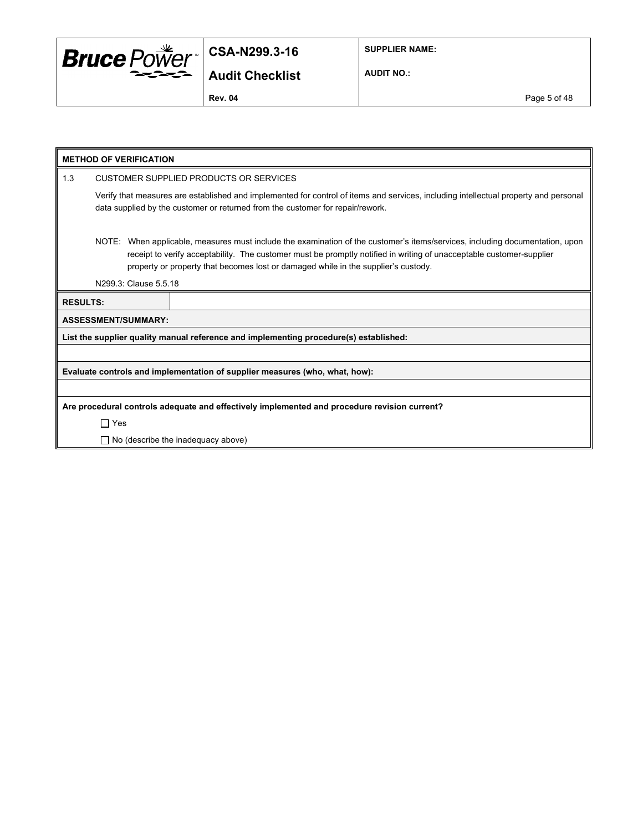

**SUPPLIER NAME:**

**AUDIT NO.:**

**Rev. 04** Page 5 of 48

|                 |            | <b>METHOD OF VERIFICATION</b> |                                                                                                                                                                                                                                                                                                                                            |
|-----------------|------------|-------------------------------|--------------------------------------------------------------------------------------------------------------------------------------------------------------------------------------------------------------------------------------------------------------------------------------------------------------------------------------------|
| 1.3             |            |                               | CUSTOMER SUPPLIED PRODUCTS OR SERVICES                                                                                                                                                                                                                                                                                                     |
|                 |            |                               | Verify that measures are established and implemented for control of items and services, including intellectual property and personal<br>data supplied by the customer or returned from the customer for repair/rework.                                                                                                                     |
|                 |            |                               | NOTE: When applicable, measures must include the examination of the customer's items/services, including documentation, upon<br>receipt to verify acceptability. The customer must be promptly notified in writing of unacceptable customer-supplier<br>property or property that becomes lost or damaged while in the supplier's custody. |
|                 |            | N299.3: Clause 5.5.18         |                                                                                                                                                                                                                                                                                                                                            |
| <b>RESULTS:</b> |            |                               |                                                                                                                                                                                                                                                                                                                                            |
|                 |            | <b>ASSESSMENT/SUMMARY:</b>    |                                                                                                                                                                                                                                                                                                                                            |
|                 |            |                               | List the supplier quality manual reference and implementing procedure(s) established:                                                                                                                                                                                                                                                      |
|                 |            |                               |                                                                                                                                                                                                                                                                                                                                            |
|                 |            |                               | Evaluate controls and implementation of supplier measures (who, what, how):                                                                                                                                                                                                                                                                |
|                 |            |                               |                                                                                                                                                                                                                                                                                                                                            |
|                 |            |                               | Are procedural controls adequate and effectively implemented and procedure revision current?                                                                                                                                                                                                                                               |
|                 | $\Box$ Yes |                               |                                                                                                                                                                                                                                                                                                                                            |
|                 |            |                               | $\Box$ No (describe the inadequacy above)                                                                                                                                                                                                                                                                                                  |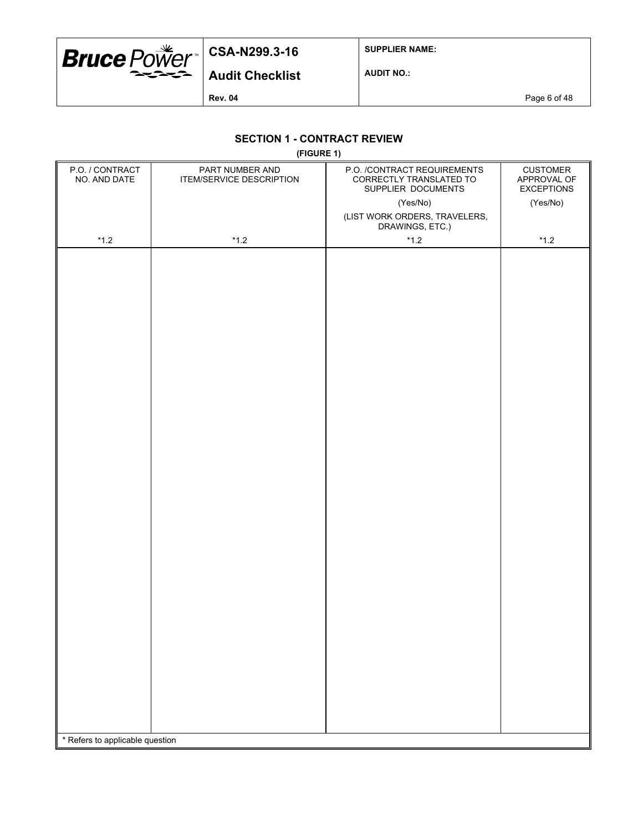

**SUPPLIER NAME:**

**Audit Checklist**

**AUDIT NO.:**

**Rev. 04** Page 6 of 48

### **SECTION 1 - CONTRACT REVIEW**

**(FIGURE 1)**

| P.O. / CONTRACT<br>NO. AND DATE | PART NUMBER AND<br>ITEM/SERVICE DESCRIPTION | P.O. /CONTRACT REQUIREMENTS<br>CORRECTLY TRANSLATED TO<br>SUPPLIER DOCUMENTS | <b>CUSTOMER</b><br>APPROVAL OF<br><b>EXCEPTIONS</b> |
|---------------------------------|---------------------------------------------|------------------------------------------------------------------------------|-----------------------------------------------------|
|                                 |                                             | (Yes/No)                                                                     | (Yes/No)                                            |
|                                 |                                             | (LIST WORK ORDERS, TRAVELERS,<br>DRAWINGS, ETC.)                             |                                                     |
| $^{\star}$ 1.2                  | $^{\star}$ 1.2                              | $^{\star}$ 1.2                                                               | $^{\star}$ 1.2                                      |
|                                 |                                             |                                                                              |                                                     |
|                                 |                                             |                                                                              |                                                     |
|                                 |                                             |                                                                              |                                                     |
| * Refers to applicable question |                                             |                                                                              |                                                     |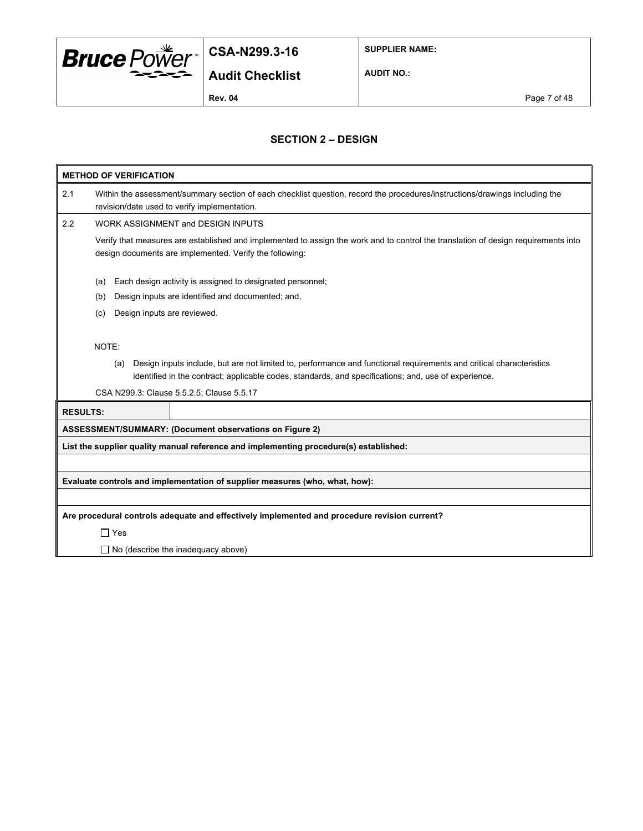

**SUPPLIER NAME:**

**Audit Checklist**

**AUDIT NO.:**

**Rev. 04** Page 7 of 48

### **SECTION 2 – DESIGN**

|                 | <b>METHOD OF VERIFICATION</b>                                                                                                                                                                 |
|-----------------|-----------------------------------------------------------------------------------------------------------------------------------------------------------------------------------------------|
| 2.1             | Within the assessment/summary section of each checklist question, record the procedures/instructions/drawings including the<br>revision/date used to verify implementation.                   |
| 2.2             | <b>WORK ASSIGNMENT and DESIGN INPUTS</b>                                                                                                                                                      |
|                 | Verify that measures are established and implemented to assign the work and to control the translation of design requirements into<br>design documents are implemented. Verify the following: |
|                 | Each design activity is assigned to designated personnel;<br>(a)                                                                                                                              |
|                 | Design inputs are identified and documented; and,<br>(b)                                                                                                                                      |
|                 | Design inputs are reviewed.<br>(c)                                                                                                                                                            |
|                 | NOTE:<br>Design inputs include, but are not limited to, performance and functional requirements and critical characteristics<br>(a)                                                           |
|                 | identified in the contract; applicable codes, standards, and specifications; and, use of experience.                                                                                          |
|                 | CSA N299.3: Clause 5.5.2.5; Clause 5.5.17                                                                                                                                                     |
| <b>RESULTS:</b> |                                                                                                                                                                                               |
|                 | ASSESSMENT/SUMMARY: (Document observations on Figure 2)                                                                                                                                       |
|                 | List the supplier quality manual reference and implementing procedure(s) established:                                                                                                         |
|                 |                                                                                                                                                                                               |
|                 | Evaluate controls and implementation of supplier measures (who, what, how):                                                                                                                   |
|                 |                                                                                                                                                                                               |
|                 | Are procedural controls adequate and effectively implemented and procedure revision current?                                                                                                  |
|                 | $\Box$ Yes                                                                                                                                                                                    |
|                 | $\Box$ No (describe the inadequacy above)                                                                                                                                                     |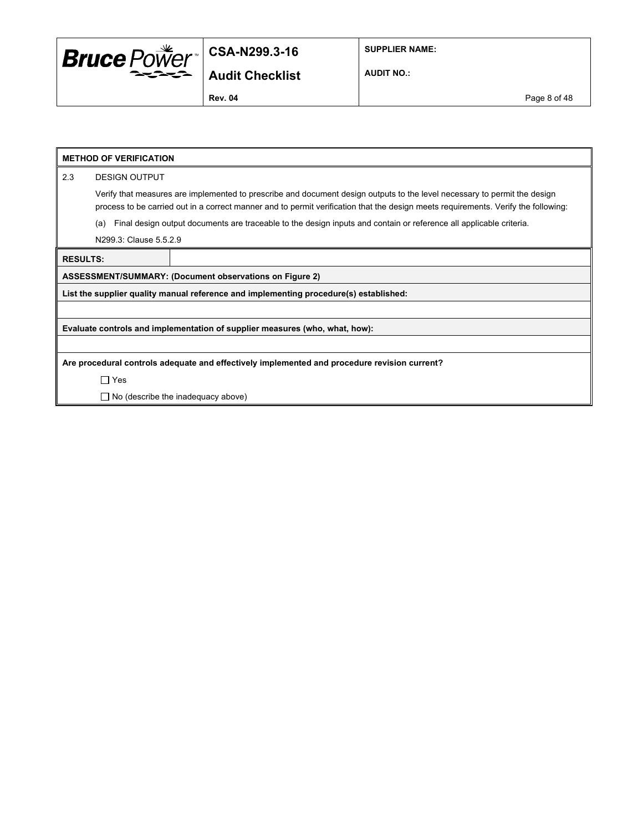

**AUDIT NO.:**

**Rev. 04** Page 8 of 48

#### **METHOD OF VERIFICATION**

2.3 DESIGN OUTPUT

Verify that measures are implemented to prescribe and document design outputs to the level necessary to permit the design process to be carried out in a correct manner and to permit verification that the design meets requirements. Verify the following:

(a) Final design output documents are traceable to the design inputs and contain or reference all applicable criteria.

N299.3: Clause 5.5.2.9

**RESULTS:**

**ASSESSMENT/SUMMARY: (Document observations on Figure 2)**

**List the supplier quality manual reference and implementing procedure(s) established:**

**Evaluate controls and implementation of supplier measures (who, what, how):**

**Are procedural controls adequate and effectively implemented and procedure revision current?**

Yes

□ No (describe the inadequacy above)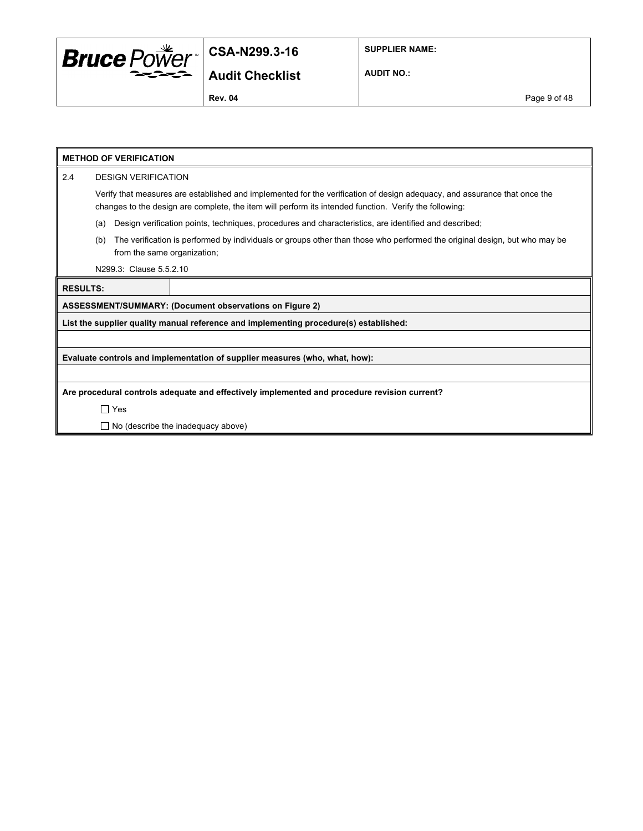

**SUPPLIER NAME:**

**Audit Checklist**

**AUDIT NO.:**

**Rev. 04** Page 9 of 48

|                 | <b>METHOD OF VERIFICATION</b>                                                                                                                                                                                                       |  |  |  |
|-----------------|-------------------------------------------------------------------------------------------------------------------------------------------------------------------------------------------------------------------------------------|--|--|--|
| 2.4             | <b>DESIGN VERIFICATION</b>                                                                                                                                                                                                          |  |  |  |
|                 | Verify that measures are established and implemented for the verification of design adequacy, and assurance that once the<br>changes to the design are complete, the item will perform its intended function. Verify the following: |  |  |  |
|                 | Design verification points, techniques, procedures and characteristics, are identified and described;<br>(a)                                                                                                                        |  |  |  |
|                 | The verification is performed by individuals or groups other than those who performed the original design, but who may be<br>(b)<br>from the same organization;                                                                     |  |  |  |
|                 | N299.3: Clause 5.5.2.10                                                                                                                                                                                                             |  |  |  |
| <b>RESULTS:</b> |                                                                                                                                                                                                                                     |  |  |  |
|                 | <b>ASSESSMENT/SUMMARY: (Document observations on Figure 2)</b>                                                                                                                                                                      |  |  |  |
|                 | List the supplier quality manual reference and implementing procedure(s) established:                                                                                                                                               |  |  |  |
|                 |                                                                                                                                                                                                                                     |  |  |  |
|                 | Evaluate controls and implementation of supplier measures (who, what, how):                                                                                                                                                         |  |  |  |
|                 |                                                                                                                                                                                                                                     |  |  |  |
|                 | Are procedural controls adequate and effectively implemented and procedure revision current?                                                                                                                                        |  |  |  |
|                 | $\Box$ Yes                                                                                                                                                                                                                          |  |  |  |
|                 | $\Box$ No (describe the inadequacy above)                                                                                                                                                                                           |  |  |  |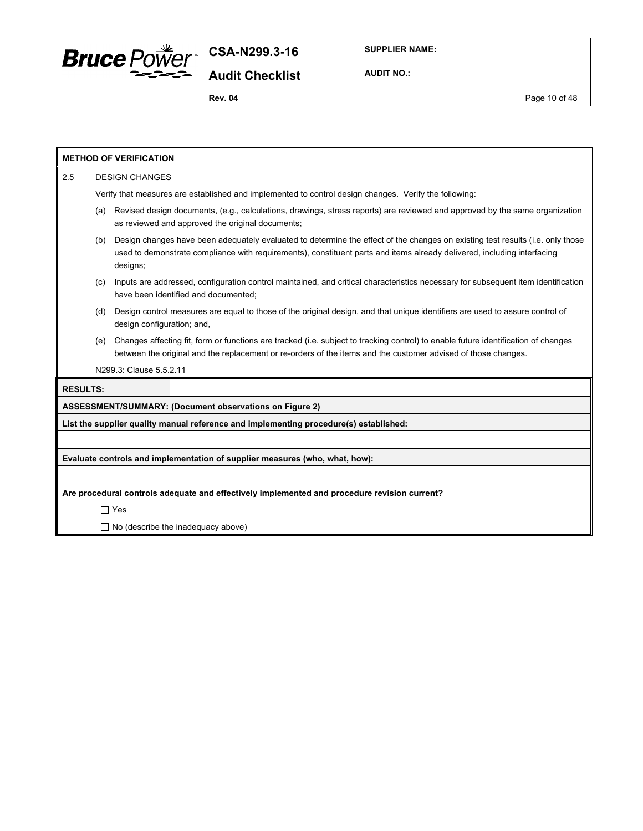

**AUDIT NO.:**

|                 | <b>METHOD OF VERIFICATION</b>             |                            |                                                                                                                                                                                                                                                           |  |  |  |
|-----------------|-------------------------------------------|----------------------------|-----------------------------------------------------------------------------------------------------------------------------------------------------------------------------------------------------------------------------------------------------------|--|--|--|
| 2.5             |                                           | <b>DESIGN CHANGES</b>      |                                                                                                                                                                                                                                                           |  |  |  |
|                 |                                           |                            | Verify that measures are established and implemented to control design changes. Verify the following:                                                                                                                                                     |  |  |  |
|                 | (a)                                       |                            | Revised design documents, (e.g., calculations, drawings, stress reports) are reviewed and approved by the same organization<br>as reviewed and approved the original documents;                                                                           |  |  |  |
|                 | (b)                                       | designs;                   | Design changes have been adequately evaluated to determine the effect of the changes on existing test results (i.e. only those<br>used to demonstrate compliance with requirements), constituent parts and items already delivered, including interfacing |  |  |  |
|                 | (C)                                       |                            | Inputs are addressed, configuration control maintained, and critical characteristics necessary for subsequent item identification<br>have been identified and documented;                                                                                 |  |  |  |
|                 | (d)                                       | design configuration; and, | Design control measures are equal to those of the original design, and that unique identifiers are used to assure control of                                                                                                                              |  |  |  |
|                 | (e)                                       |                            | Changes affecting fit, form or functions are tracked (i.e. subject to tracking control) to enable future identification of changes<br>between the original and the replacement or re-orders of the items and the customer advised of those changes.       |  |  |  |
|                 |                                           | N299.3: Clause 5.5.2.11    |                                                                                                                                                                                                                                                           |  |  |  |
| <b>RESULTS:</b> |                                           |                            |                                                                                                                                                                                                                                                           |  |  |  |
|                 |                                           |                            | <b>ASSESSMENT/SUMMARY: (Document observations on Figure 2)</b>                                                                                                                                                                                            |  |  |  |
|                 |                                           |                            | List the supplier quality manual reference and implementing procedure(s) established:                                                                                                                                                                     |  |  |  |
|                 |                                           |                            |                                                                                                                                                                                                                                                           |  |  |  |
|                 |                                           |                            | Evaluate controls and implementation of supplier measures (who, what, how):                                                                                                                                                                               |  |  |  |
|                 |                                           |                            |                                                                                                                                                                                                                                                           |  |  |  |
|                 |                                           |                            | Are procedural controls adequate and effectively implemented and procedure revision current?                                                                                                                                                              |  |  |  |
|                 |                                           | $\Box$ Yes                 |                                                                                                                                                                                                                                                           |  |  |  |
|                 | $\Box$ No (describe the inadequacy above) |                            |                                                                                                                                                                                                                                                           |  |  |  |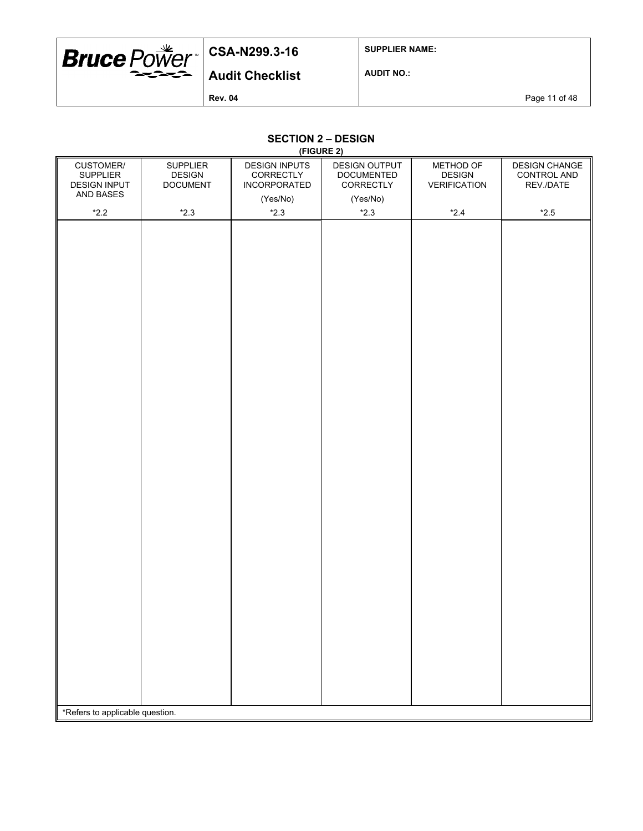

**SUPPLIER NAME:**

**AUDIT NO.:**

**Rev. 04** Page 11 of 48

#### **SECTION 2 – DESIGN (FIGURE 2)**

|                                                     |                                                     | <u>(FIGURE 2)</u>                                        |                                                 |                                                   |                                                  |
|-----------------------------------------------------|-----------------------------------------------------|----------------------------------------------------------|-------------------------------------------------|---------------------------------------------------|--------------------------------------------------|
| CUSTOMER/<br><b>SUPPLIER</b><br><b>DESIGN INPUT</b> | <b>SUPPLIER</b><br><b>DESIGN</b><br><b>DOCUMENT</b> | <b>DESIGN INPUTS</b><br>CORRECTLY<br><b>INCORPORATED</b> | DESIGN OUTPUT<br><b>DOCUMENTED</b><br>CORRECTLY | METHOD OF<br><b>DESIGN</b><br><b>VERIFICATION</b> | <b>DESIGN CHANGE</b><br>CONTROL AND<br>REV./DATE |
| AND BASES                                           |                                                     | (Yes/No)                                                 | (Yes/No)                                        |                                                   |                                                  |
| $*2.2$                                              | $*2.3$                                              | $*2.3$                                                   | $*2.3$                                          | $*2.4$                                            | $*2.5$                                           |
|                                                     |                                                     |                                                          |                                                 |                                                   |                                                  |
| *Refers to applicable question.                     |                                                     |                                                          |                                                 |                                                   |                                                  |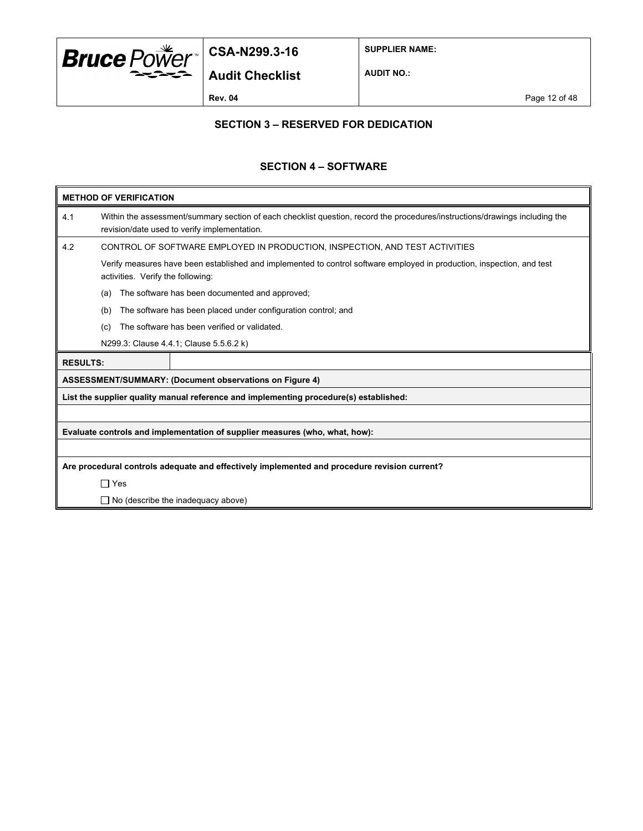

**SUPPLIER NAME:**

**AUDIT NO.:**

### **SECTION 3 – RESERVED FOR DEDICATION**

#### **SECTION 4 – SOFTWARE**

|     | <b>METHOD OF VERIFICATION</b>                                               |                                                                                                                                                                             |  |
|-----|-----------------------------------------------------------------------------|-----------------------------------------------------------------------------------------------------------------------------------------------------------------------------|--|
| 4.1 |                                                                             | Within the assessment/summary section of each checklist question, record the procedures/instructions/drawings including the<br>revision/date used to verify implementation. |  |
| 4.2 | CONTROL OF SOFTWARE EMPLOYED IN PRODUCTION, INSPECTION, AND TEST ACTIVITIES |                                                                                                                                                                             |  |
|     | activities. Verify the following:                                           | Verify measures have been established and implemented to control software employed in production, inspection, and test                                                      |  |
|     | (a)                                                                         | The software has been documented and approved;                                                                                                                              |  |
|     | (b)                                                                         | The software has been placed under configuration control; and                                                                                                               |  |
|     | (c)                                                                         | The software has been verified or validated.                                                                                                                                |  |
|     |                                                                             | N299.3: Clause 4.4.1; Clause 5.5.6.2 k)                                                                                                                                     |  |
|     | <b>RESULTS:</b>                                                             |                                                                                                                                                                             |  |
|     |                                                                             | <b>ASSESSMENT/SUMMARY: (Document observations on Figure 4)</b>                                                                                                              |  |
|     |                                                                             | List the supplier quality manual reference and implementing procedure(s) established:                                                                                       |  |
|     |                                                                             |                                                                                                                                                                             |  |
|     |                                                                             | Evaluate controls and implementation of supplier measures (who, what, how):                                                                                                 |  |
|     |                                                                             |                                                                                                                                                                             |  |
|     |                                                                             | Are procedural controls adequate and effectively implemented and procedure revision current?                                                                                |  |
|     | $\Box$ Yes                                                                  |                                                                                                                                                                             |  |
|     |                                                                             | $\Box$ No (describe the inadequacy above)                                                                                                                                   |  |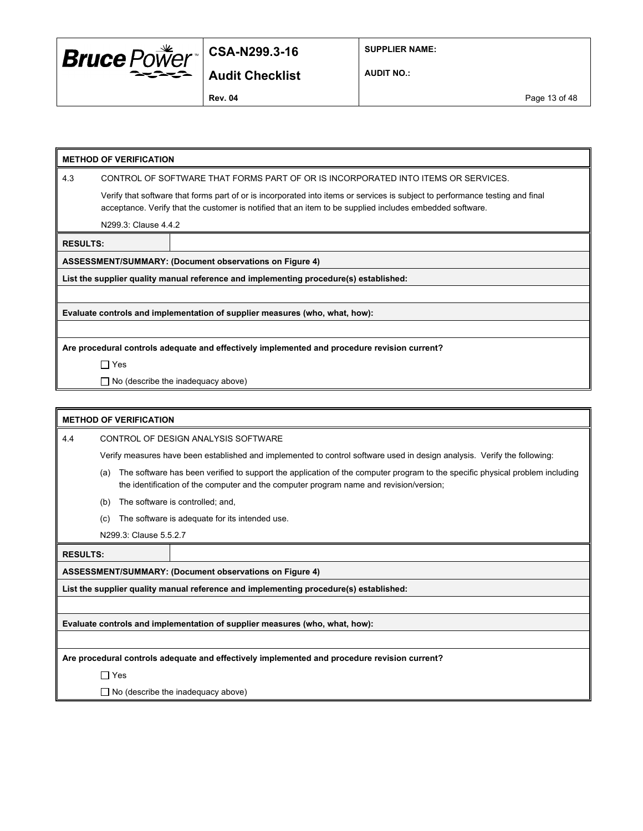

**SUPPLIER NAME:**

**AUDIT NO.:**

**Rev. 04** Page 13 of 48

| <b>METHOD OF VERIFICATION</b> |  |
|-------------------------------|--|
|-------------------------------|--|

4.3 CONTROL OF SOFTWARE THAT FORMS PART OF OR IS INCORPORATED INTO ITEMS OR SERVICES.

Verify that software that forms part of or is incorporated into items or services is subject to performance testing and final acceptance. Verify that the customer is notified that an item to be supplied includes embedded software.

N299.3: Clause 4.4.2

**RESULTS:**

**ASSESSMENT/SUMMARY: (Document observations on Figure 4)**

**List the supplier quality manual reference and implementing procedure(s) established:**

**Evaluate controls and implementation of supplier measures (who, what, how):**

**Are procedural controls adequate and effectively implemented and procedure revision current?**

Yes

□ No (describe the inadequacy above)

#### **METHOD OF VERIFICATION**

4.4 CONTROL OF DESIGN ANALYSIS SOFTWARE

Verify measures have been established and implemented to control software used in design analysis. Verify the following:

- (a) The software has been verified to support the application of the computer program to the specific physical problem including the identification of the computer and the computer program name and revision/version;
- (b) The software is controlled; and,
- (c) The software is adequate for its intended use.
- N299.3: Clause 5.5.2.7

**RESULTS:**

**ASSESSMENT/SUMMARY: (Document observations on Figure 4)**

**List the supplier quality manual reference and implementing procedure(s) established:**

**Evaluate controls and implementation of supplier measures (who, what, how):**

**Are procedural controls adequate and effectively implemented and procedure revision current?**

□ Yes

 $\Box$  No (describe the inadequacy above)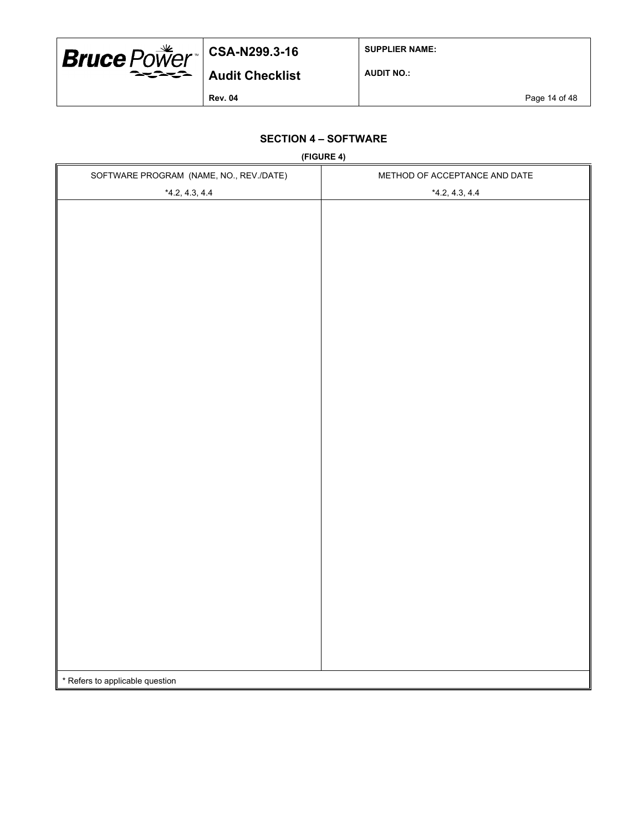

**SUPPLIER NAME:**

**AUDIT NO.:**

**Rev. 04** Page 14 of 48

### **SECTION 4 – SOFTWARE**

**(FIGURE 4)**

| SOFTWARE PROGRAM (NAME, NO., REV./DATE) | METHOD OF ACCEPTANCE AND DATE |
|-----------------------------------------|-------------------------------|
| $*4.2, 4.3, 4.4$                        | $*4.2, 4.3, 4.4$              |
|                                         |                               |
|                                         |                               |
|                                         |                               |
|                                         |                               |
|                                         |                               |
|                                         |                               |
|                                         |                               |
|                                         |                               |
|                                         |                               |
|                                         |                               |
|                                         |                               |
|                                         |                               |
|                                         |                               |
|                                         |                               |
|                                         |                               |
|                                         |                               |
|                                         |                               |
|                                         |                               |
|                                         |                               |
|                                         |                               |
|                                         |                               |
|                                         |                               |
|                                         |                               |
|                                         |                               |
|                                         |                               |
|                                         |                               |
|                                         |                               |
|                                         |                               |
|                                         |                               |
| * Refers to applicable question         |                               |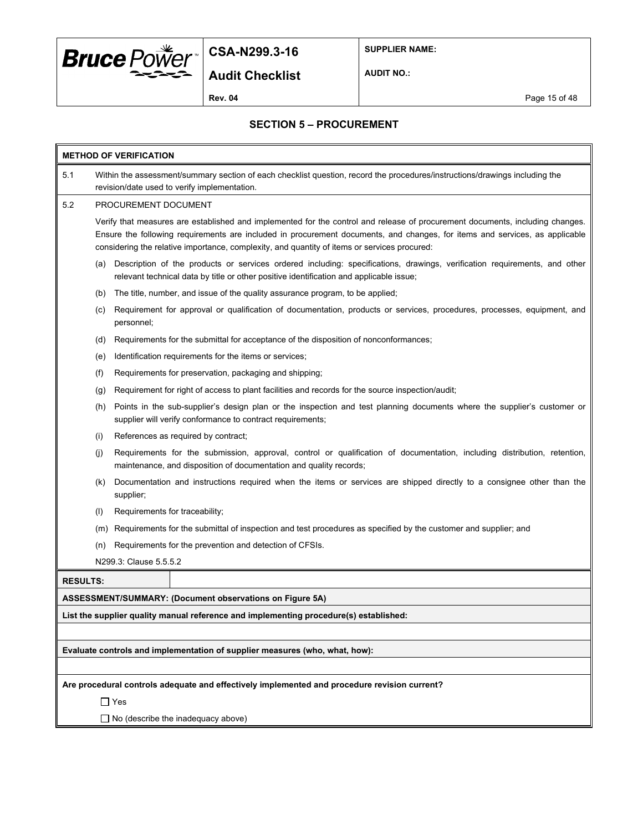

**SUPPLIER NAME:**

**Audit Checklist**

**AUDIT NO.:**

**Rev. 04** Page 15 of 48

#### **SECTION 5 – PROCUREMENT**

| <b>METHOD OF VERIFICATION</b> |                                                                                                                                                                                                                                                                                                                                                              |                                                                                                                                                                                                                      |  |  |  |  |
|-------------------------------|--------------------------------------------------------------------------------------------------------------------------------------------------------------------------------------------------------------------------------------------------------------------------------------------------------------------------------------------------------------|----------------------------------------------------------------------------------------------------------------------------------------------------------------------------------------------------------------------|--|--|--|--|
| 5.1                           | Within the assessment/summary section of each checklist question, record the procedures/instructions/drawings including the<br>revision/date used to verify implementation.                                                                                                                                                                                  |                                                                                                                                                                                                                      |  |  |  |  |
| 5.2                           | PROCUREMENT DOCUMENT                                                                                                                                                                                                                                                                                                                                         |                                                                                                                                                                                                                      |  |  |  |  |
|                               | Verify that measures are established and implemented for the control and release of procurement documents, including changes.<br>Ensure the following requirements are included in procurement documents, and changes, for items and services, as applicable<br>considering the relative importance, complexity, and quantity of items or services procured: |                                                                                                                                                                                                                      |  |  |  |  |
|                               | (a)                                                                                                                                                                                                                                                                                                                                                          | Description of the products or services ordered including: specifications, drawings, verification requirements, and other<br>relevant technical data by title or other positive identification and applicable issue; |  |  |  |  |
|                               | (b)                                                                                                                                                                                                                                                                                                                                                          | The title, number, and issue of the quality assurance program, to be applied;                                                                                                                                        |  |  |  |  |
|                               | (c)                                                                                                                                                                                                                                                                                                                                                          | Requirement for approval or qualification of documentation, products or services, procedures, processes, equipment, and<br>personnel;                                                                                |  |  |  |  |
|                               | (d)                                                                                                                                                                                                                                                                                                                                                          | Requirements for the submittal for acceptance of the disposition of nonconformances;                                                                                                                                 |  |  |  |  |
|                               | (e)                                                                                                                                                                                                                                                                                                                                                          | Identification requirements for the items or services;                                                                                                                                                               |  |  |  |  |
|                               | (f)                                                                                                                                                                                                                                                                                                                                                          | Requirements for preservation, packaging and shipping;                                                                                                                                                               |  |  |  |  |
|                               | (g)                                                                                                                                                                                                                                                                                                                                                          | Requirement for right of access to plant facilities and records for the source inspection/audit;                                                                                                                     |  |  |  |  |
|                               | (h)                                                                                                                                                                                                                                                                                                                                                          | Points in the sub-supplier's design plan or the inspection and test planning documents where the supplier's customer or<br>supplier will verify conformance to contract requirements;                                |  |  |  |  |
|                               | (i)                                                                                                                                                                                                                                                                                                                                                          | References as required by contract;                                                                                                                                                                                  |  |  |  |  |
|                               | (i)                                                                                                                                                                                                                                                                                                                                                          | Requirements for the submission, approval, control or qualification of documentation, including distribution, retention,<br>maintenance, and disposition of documentation and quality records;                       |  |  |  |  |
|                               | (K)                                                                                                                                                                                                                                                                                                                                                          | Documentation and instructions required when the items or services are shipped directly to a consignee other than the<br>supplier;                                                                                   |  |  |  |  |
|                               | (1)                                                                                                                                                                                                                                                                                                                                                          | Requirements for traceability;                                                                                                                                                                                       |  |  |  |  |
|                               | (m)                                                                                                                                                                                                                                                                                                                                                          | Requirements for the submittal of inspection and test procedures as specified by the customer and supplier; and                                                                                                      |  |  |  |  |
|                               | (n)                                                                                                                                                                                                                                                                                                                                                          | Requirements for the prevention and detection of CFSIs.                                                                                                                                                              |  |  |  |  |
|                               |                                                                                                                                                                                                                                                                                                                                                              | N299.3: Clause 5.5.5.2                                                                                                                                                                                               |  |  |  |  |
| <b>RESULTS:</b>               |                                                                                                                                                                                                                                                                                                                                                              |                                                                                                                                                                                                                      |  |  |  |  |
|                               |                                                                                                                                                                                                                                                                                                                                                              | ASSESSMENT/SUMMARY: (Document observations on Figure 5A)                                                                                                                                                             |  |  |  |  |
|                               |                                                                                                                                                                                                                                                                                                                                                              | List the supplier quality manual reference and implementing procedure(s) established:                                                                                                                                |  |  |  |  |
|                               |                                                                                                                                                                                                                                                                                                                                                              |                                                                                                                                                                                                                      |  |  |  |  |
|                               |                                                                                                                                                                                                                                                                                                                                                              | Evaluate controls and implementation of supplier measures (who, what, how):                                                                                                                                          |  |  |  |  |
|                               |                                                                                                                                                                                                                                                                                                                                                              |                                                                                                                                                                                                                      |  |  |  |  |
|                               |                                                                                                                                                                                                                                                                                                                                                              | Are procedural controls adequate and effectively implemented and procedure revision current?                                                                                                                         |  |  |  |  |
|                               |                                                                                                                                                                                                                                                                                                                                                              | $\Box$ Yes                                                                                                                                                                                                           |  |  |  |  |
|                               |                                                                                                                                                                                                                                                                                                                                                              | $\Box$ No (describe the inadequacy above)                                                                                                                                                                            |  |  |  |  |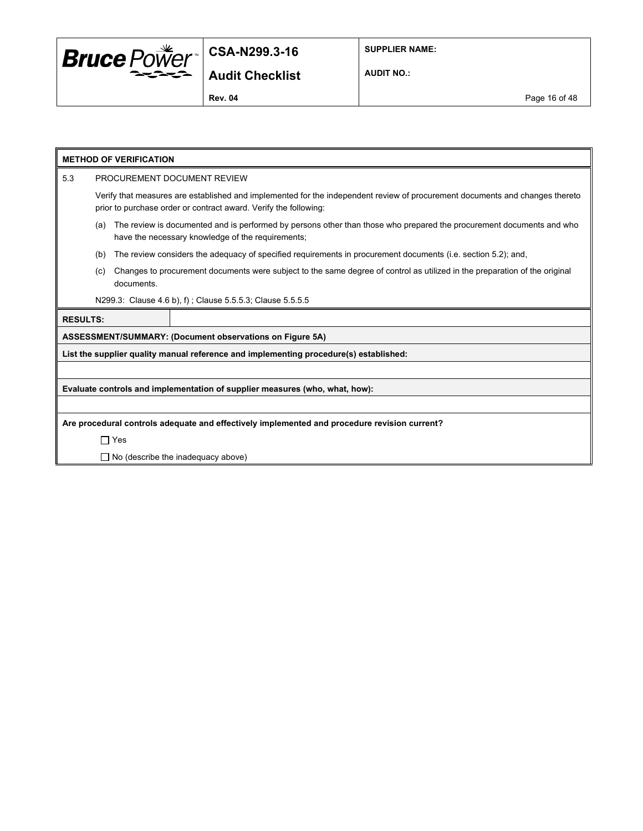

**SUPPLIER NAME:**

**AUDIT NO.:**

**Rev. 04** Page 16 of 48

|                 | <b>METHOD OF VERIFICATION</b>                                                                                                                                                                    |  |  |  |  |
|-----------------|--------------------------------------------------------------------------------------------------------------------------------------------------------------------------------------------------|--|--|--|--|
| 5.3             | PROCUREMENT DOCUMENT REVIEW                                                                                                                                                                      |  |  |  |  |
|                 | Verify that measures are established and implemented for the independent review of procurement documents and changes thereto<br>prior to purchase order or contract award. Verify the following: |  |  |  |  |
|                 | The review is documented and is performed by persons other than those who prepared the procurement documents and who<br>(a)<br>have the necessary knowledge of the requirements;                 |  |  |  |  |
|                 | The review considers the adequacy of specified requirements in procurement documents (i.e. section 5.2); and,<br>(b)                                                                             |  |  |  |  |
|                 | Changes to procurement documents were subject to the same degree of control as utilized in the preparation of the original<br>(c)<br>documents.                                                  |  |  |  |  |
|                 | N299.3: Clause 4.6 b), f); Clause 5.5.5.3; Clause 5.5.5.5                                                                                                                                        |  |  |  |  |
| <b>RESULTS:</b> |                                                                                                                                                                                                  |  |  |  |  |
|                 | ASSESSMENT/SUMMARY: (Document observations on Figure 5A)                                                                                                                                         |  |  |  |  |
|                 | List the supplier quality manual reference and implementing procedure(s) established:                                                                                                            |  |  |  |  |
|                 |                                                                                                                                                                                                  |  |  |  |  |
|                 | Evaluate controls and implementation of supplier measures (who, what, how):                                                                                                                      |  |  |  |  |
|                 |                                                                                                                                                                                                  |  |  |  |  |
|                 | Are procedural controls adequate and effectively implemented and procedure revision current?                                                                                                     |  |  |  |  |
|                 | $\Box$ Yes                                                                                                                                                                                       |  |  |  |  |
|                 | $\Box$ No (describe the inadequacy above)                                                                                                                                                        |  |  |  |  |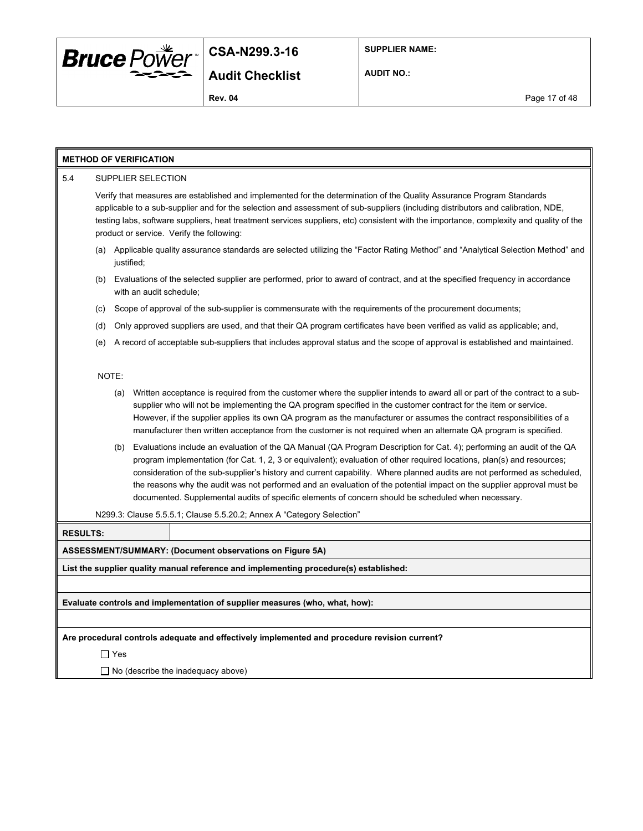

**SUPPLIER NAME:**

**AUDIT NO.:**

#### **METHOD OF VERIFICATION**

#### 5.4 SUPPLIER SELECTION

Verify that measures are established and implemented for the determination of the Quality Assurance Program Standards applicable to a sub-supplier and for the selection and assessment of sub-suppliers (including distributors and calibration, NDE, testing labs, software suppliers, heat treatment services suppliers, etc) consistent with the importance, complexity and quality of the product or service. Verify the following:

- (a) Applicable quality assurance standards are selected utilizing the "Factor Rating Method" and "Analytical Selection Method" and justified;
- (b) Evaluations of the selected supplier are performed, prior to award of contract, and at the specified frequency in accordance with an audit schedule;
- (c) Scope of approval of the sub-supplier is commensurate with the requirements of the procurement documents;
- (d) Only approved suppliers are used, and that their QA program certificates have been verified as valid as applicable; and,
- (e) A record of acceptable sub-suppliers that includes approval status and the scope of approval is established and maintained.

NOTE:

- (a) Written acceptance is required from the customer where the supplier intends to award all or part of the contract to a subsupplier who will not be implementing the QA program specified in the customer contract for the item or service. However, if the supplier applies its own QA program as the manufacturer or assumes the contract responsibilities of a manufacturer then written acceptance from the customer is not required when an alternate QA program is specified.
- (b) Evaluations include an evaluation of the QA Manual (QA Program Description for Cat. 4); performing an audit of the QA program implementation (for Cat. 1, 2, 3 or equivalent); evaluation of other required locations, plan(s) and resources; consideration of the sub-supplier's history and current capability. Where planned audits are not performed as scheduled, the reasons why the audit was not performed and an evaluation of the potential impact on the supplier approval must be documented. Supplemental audits of specific elements of concern should be scheduled when necessary.
- N299.3: Clause 5.5.5.1; Clause 5.5.20.2; Annex A "Category Selection"

#### **RESULTS:**

**ASSESSMENT/SUMMARY: (Document observations on Figure 5A)**

**List the supplier quality manual reference and implementing procedure(s) established:**

**Evaluate controls and implementation of supplier measures (who, what, how):**

**Are procedural controls adequate and effectively implemented and procedure revision current?**

Yes

 $\Box$  No (describe the inadequacy above)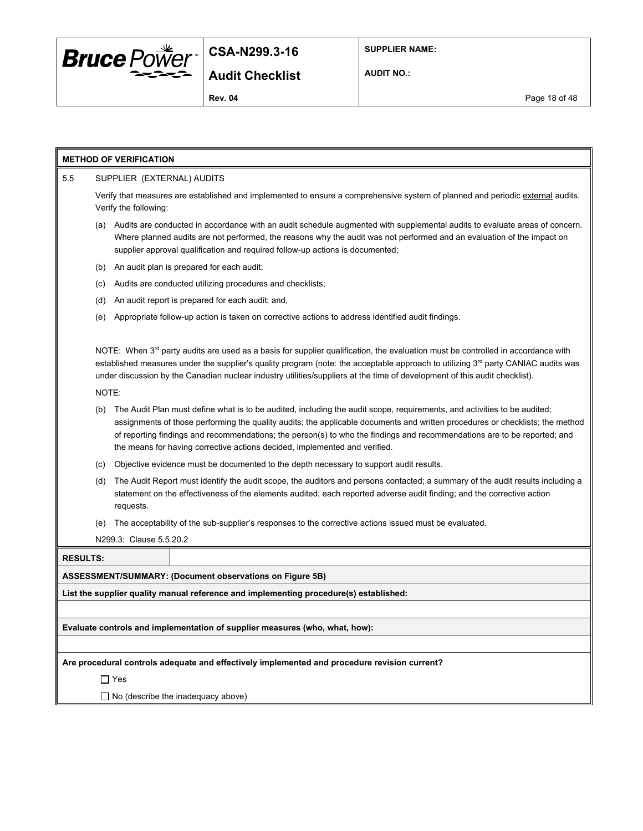

**AUDIT NO.:**

**Rev. 04** Page 18 of 48

#### **METHOD OF VERIFICATION**

#### 5.5 SUPPLIER (EXTERNAL) AUDITS

Verify that measures are established and implemented to ensure a comprehensive system of planned and periodic external audits. Verify the following:

- (a) Audits are conducted in accordance with an audit schedule augmented with supplemental audits to evaluate areas of concern. Where planned audits are not performed, the reasons why the audit was not performed and an evaluation of the impact on supplier approval qualification and required follow-up actions is documented;
- (b) An audit plan is prepared for each audit;
- (c) Audits are conducted utilizing procedures and checklists;
- (d) An audit report is prepared for each audit; and,
- (e) Appropriate follow-up action is taken on corrective actions to address identified audit findings.

NOTE: When  $3^{rd}$  party audits are used as a basis for supplier qualification, the evaluation must be controlled in accordance with established measures under the supplier's quality program (note: the acceptable approach to utilizing 3<sup>rd</sup> party CANIAC audits was under discussion by the Canadian nuclear industry utilities/suppliers at the time of development of this audit checklist).

NOTE:

- (b) The Audit Plan must define what is to be audited, including the audit scope, requirements, and activities to be audited; assignments of those performing the quality audits; the applicable documents and written procedures or checklists; the method of reporting findings and recommendations; the person(s) to who the findings and recommendations are to be reported; and the means for having corrective actions decided, implemented and verified.
- (c) Objective evidence must be documented to the depth necessary to support audit results.
- (d) The Audit Report must identify the audit scope, the auditors and persons contacted; a summary of the audit results including a statement on the effectiveness of the elements audited; each reported adverse audit finding; and the corrective action requests.
- (e) The acceptability of the sub-supplier's responses to the corrective actions issued must be evaluated.

N299.3: Clause 5.5.20.2

| <b>RESULTS:</b> |  |
|-----------------|--|
| 100000010000000 |  |

**ASSESSMENT/SUMMARY: (Document observations on Figure 5B)**

**List the supplier quality manual reference and implementing procedure(s) established:**

**Evaluate controls and implementation of supplier measures (who, what, how):**

**Are procedural controls adequate and effectively implemented and procedure revision current?**

□ Yes

 $\Box$  No (describe the inadequacy above)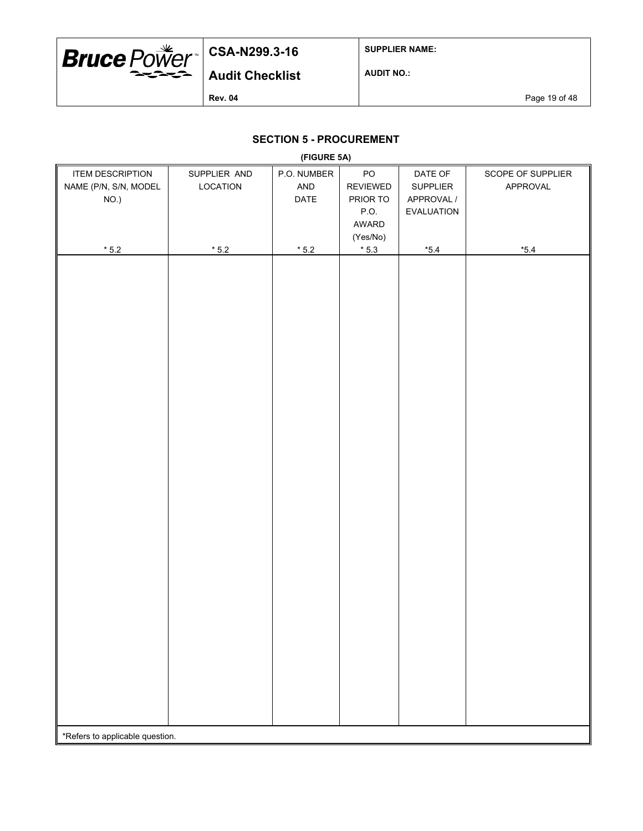

**SUPPLIER NAME:**

**AUDIT NO.:**

**Rev. 04** Page 19 of 48

### **SECTION 5 - PROCUREMENT**

|                                 |                | (FIGURE 5A) |                 |            |                   |
|---------------------------------|----------------|-------------|-----------------|------------|-------------------|
| <b>ITEM DESCRIPTION</b>         | SUPPLIER AND   | P.O. NUMBER | PO              | DATE OF    | SCOPE OF SUPPLIER |
| NAME (P/N, S/N, MODEL           | LOCATION       | AND         | <b>REVIEWED</b> | SUPPLIER   | APPROVAL          |
| NO.)                            |                | DATE        | PRIOR TO        | APPROVAL / |                   |
|                                 |                |             | P.O.            | EVALUATION |                   |
|                                 |                |             | AWARD           |            |                   |
|                                 |                |             |                 |            |                   |
|                                 |                |             | (Yes/No)        |            |                   |
| $^{\star}$ 5.2                  | $^{\star}$ 5.2 | $*5.2$      | $*5.3$          | $*5.4$     | $^{\star}5.4$     |
|                                 |                |             |                 |            |                   |
|                                 |                |             |                 |            |                   |
|                                 |                |             |                 |            |                   |
|                                 |                |             |                 |            |                   |
|                                 |                |             |                 |            |                   |
|                                 |                |             |                 |            |                   |
|                                 |                |             |                 |            |                   |
|                                 |                |             |                 |            |                   |
|                                 |                |             |                 |            |                   |
|                                 |                |             |                 |            |                   |
|                                 |                |             |                 |            |                   |
|                                 |                |             |                 |            |                   |
|                                 |                |             |                 |            |                   |
|                                 |                |             |                 |            |                   |
|                                 |                |             |                 |            |                   |
|                                 |                |             |                 |            |                   |
|                                 |                |             |                 |            |                   |
|                                 |                |             |                 |            |                   |
|                                 |                |             |                 |            |                   |
|                                 |                |             |                 |            |                   |
|                                 |                |             |                 |            |                   |
|                                 |                |             |                 |            |                   |
|                                 |                |             |                 |            |                   |
|                                 |                |             |                 |            |                   |
|                                 |                |             |                 |            |                   |
|                                 |                |             |                 |            |                   |
|                                 |                |             |                 |            |                   |
|                                 |                |             |                 |            |                   |
|                                 |                |             |                 |            |                   |
|                                 |                |             |                 |            |                   |
|                                 |                |             |                 |            |                   |
|                                 |                |             |                 |            |                   |
|                                 |                |             |                 |            |                   |
|                                 |                |             |                 |            |                   |
|                                 |                |             |                 |            |                   |
|                                 |                |             |                 |            |                   |
|                                 |                |             |                 |            |                   |
|                                 |                |             |                 |            |                   |
|                                 |                |             |                 |            |                   |
| *Refers to applicable question. |                |             |                 |            |                   |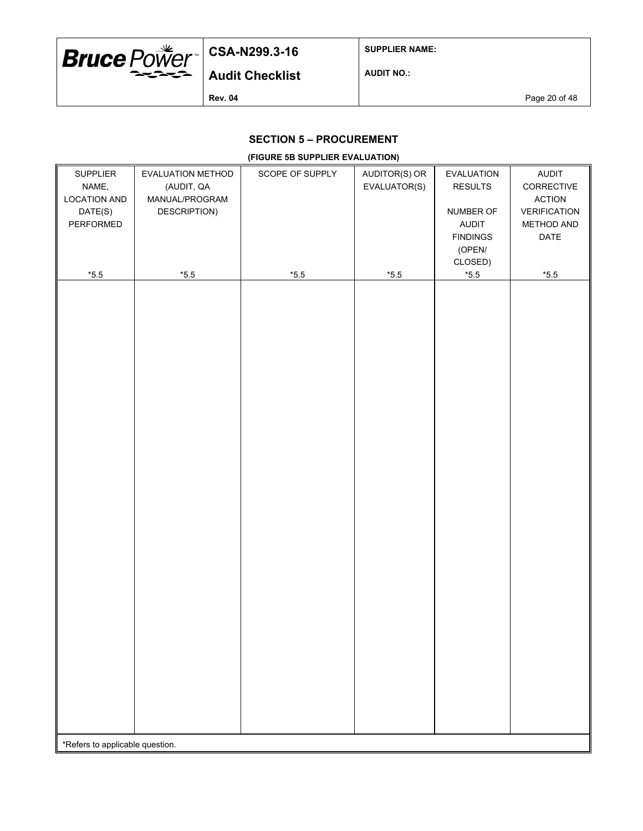

**SUPPLIER NAME:**

**AUDIT NO.:**

**Rev. 04** Page 20 of 48

### **SECTION 5 – PROCUREMENT**

#### **(FIGURE 5B SUPPLIER EVALUATION)**

| SUPPLIER                        | EVALUATION METHOD | SCOPE OF SUPPLY | AUDITOR(S) OR | EVALUATION               | <b>AUDIT</b>        |
|---------------------------------|-------------------|-----------------|---------------|--------------------------|---------------------|
| NAME,                           | (AUDIT, QA        |                 | EVALUATOR(S)  | <b>RESULTS</b>           | CORRECTIVE          |
| <b>LOCATION AND</b>             | MANUAL/PROGRAM    |                 |               |                          | <b>ACTION</b>       |
| DATE(S)                         | DESCRIPTION)      |                 |               | NUMBER OF                | <b>VERIFICATION</b> |
| PERFORMED                       |                   |                 |               | AUDIT                    | METHOD AND          |
|                                 |                   |                 |               | <b>FINDINGS</b>          | DATE                |
|                                 |                   |                 |               | (OPEN/                   |                     |
| $^{\star}5.5$                   | $^{\star}5.5$     | $^{\star}5.5$   | $^{\ast}5.5$  | CLOSED)<br>$^{\star}5.5$ | $^{\star}5.5$       |
|                                 |                   |                 |               |                          |                     |
|                                 |                   |                 |               |                          |                     |
|                                 |                   |                 |               |                          |                     |
|                                 |                   |                 |               |                          |                     |
|                                 |                   |                 |               |                          |                     |
|                                 |                   |                 |               |                          |                     |
|                                 |                   |                 |               |                          |                     |
|                                 |                   |                 |               |                          |                     |
|                                 |                   |                 |               |                          |                     |
|                                 |                   |                 |               |                          |                     |
|                                 |                   |                 |               |                          |                     |
|                                 |                   |                 |               |                          |                     |
|                                 |                   |                 |               |                          |                     |
|                                 |                   |                 |               |                          |                     |
|                                 |                   |                 |               |                          |                     |
|                                 |                   |                 |               |                          |                     |
|                                 |                   |                 |               |                          |                     |
|                                 |                   |                 |               |                          |                     |
|                                 |                   |                 |               |                          |                     |
|                                 |                   |                 |               |                          |                     |
|                                 |                   |                 |               |                          |                     |
|                                 |                   |                 |               |                          |                     |
|                                 |                   |                 |               |                          |                     |
|                                 |                   |                 |               |                          |                     |
|                                 |                   |                 |               |                          |                     |
|                                 |                   |                 |               |                          |                     |
|                                 |                   |                 |               |                          |                     |
|                                 |                   |                 |               |                          |                     |
|                                 |                   |                 |               |                          |                     |
|                                 |                   |                 |               |                          |                     |
|                                 |                   |                 |               |                          |                     |
|                                 |                   |                 |               |                          |                     |
|                                 |                   |                 |               |                          |                     |
|                                 |                   |                 |               |                          |                     |
|                                 |                   |                 |               |                          |                     |
| *Refers to applicable question. |                   |                 |               |                          |                     |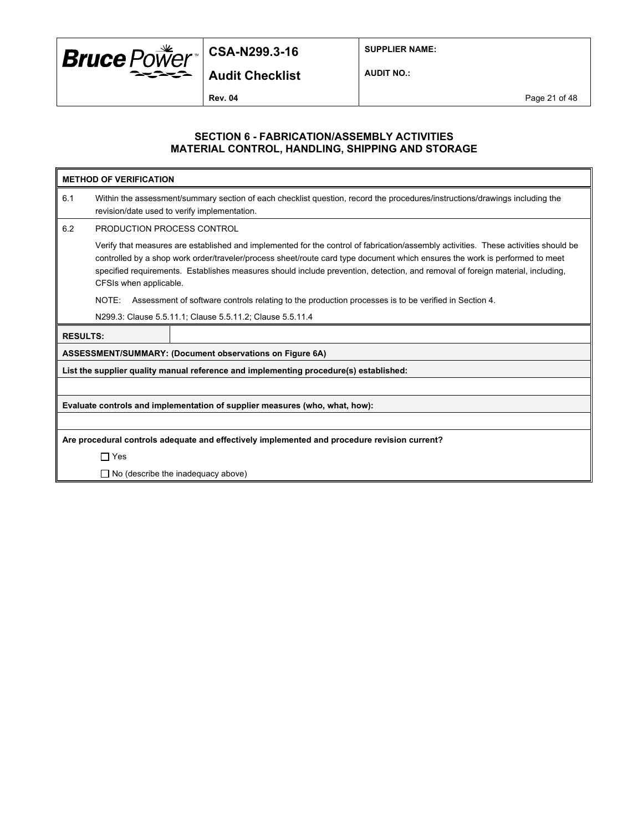

**Audit Checklist**

**SUPPLIER NAME:**

**AUDIT NO.:**

**Rev. 04** Page 21 of 48

#### **SECTION 6 - FABRICATION/ASSEMBLY ACTIVITIES MATERIAL CONTROL, HANDLING, SHIPPING AND STORAGE**

|                 | <b>METHOD OF VERIFICATION</b>                                                                                                                                                                                                                                                                                                                                                                                                  |                                                                                                                                                                             |  |  |  |  |
|-----------------|--------------------------------------------------------------------------------------------------------------------------------------------------------------------------------------------------------------------------------------------------------------------------------------------------------------------------------------------------------------------------------------------------------------------------------|-----------------------------------------------------------------------------------------------------------------------------------------------------------------------------|--|--|--|--|
| 6.1             |                                                                                                                                                                                                                                                                                                                                                                                                                                | Within the assessment/summary section of each checklist question, record the procedures/instructions/drawings including the<br>revision/date used to verify implementation. |  |  |  |  |
| 6.2             | PRODUCTION PROCESS CONTROL                                                                                                                                                                                                                                                                                                                                                                                                     |                                                                                                                                                                             |  |  |  |  |
|                 | Verify that measures are established and implemented for the control of fabrication/assembly activities. These activities should be<br>controlled by a shop work order/traveler/process sheet/route card type document which ensures the work is performed to meet<br>specified requirements. Establishes measures should include prevention, detection, and removal of foreign material, including,<br>CFSIs when applicable. |                                                                                                                                                                             |  |  |  |  |
|                 | NOTE:                                                                                                                                                                                                                                                                                                                                                                                                                          | Assessment of software controls relating to the production processes is to be verified in Section 4.                                                                        |  |  |  |  |
|                 |                                                                                                                                                                                                                                                                                                                                                                                                                                | N299.3: Clause 5.5.11.1; Clause 5.5.11.2; Clause 5.5.11.4                                                                                                                   |  |  |  |  |
| <b>RESULTS:</b> |                                                                                                                                                                                                                                                                                                                                                                                                                                |                                                                                                                                                                             |  |  |  |  |
|                 |                                                                                                                                                                                                                                                                                                                                                                                                                                | ASSESSMENT/SUMMARY: (Document observations on Figure 6A)                                                                                                                    |  |  |  |  |
|                 | List the supplier quality manual reference and implementing procedure(s) established:                                                                                                                                                                                                                                                                                                                                          |                                                                                                                                                                             |  |  |  |  |
|                 |                                                                                                                                                                                                                                                                                                                                                                                                                                |                                                                                                                                                                             |  |  |  |  |
|                 | Evaluate controls and implementation of supplier measures (who, what, how):                                                                                                                                                                                                                                                                                                                                                    |                                                                                                                                                                             |  |  |  |  |
|                 |                                                                                                                                                                                                                                                                                                                                                                                                                                |                                                                                                                                                                             |  |  |  |  |
|                 | Are procedural controls adequate and effectively implemented and procedure revision current?                                                                                                                                                                                                                                                                                                                                   |                                                                                                                                                                             |  |  |  |  |
|                 | $\Box$ Yes                                                                                                                                                                                                                                                                                                                                                                                                                     |                                                                                                                                                                             |  |  |  |  |
|                 | $\Box$ No (describe the inadequacy above)                                                                                                                                                                                                                                                                                                                                                                                      |                                                                                                                                                                             |  |  |  |  |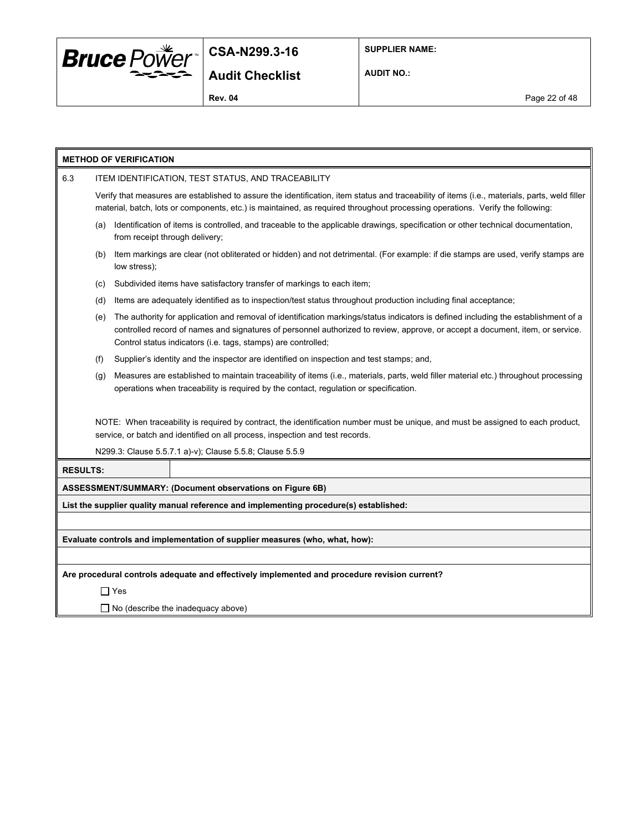

**SUPPLIER NAME:**

**AUDIT NO.:**

**Rev. 04** Page 22 of 48

|                 | <b>METHOD OF VERIFICATION</b>                                               |                                                                                                                                                                                                                                                                                                                                      |  |  |  |  |
|-----------------|-----------------------------------------------------------------------------|--------------------------------------------------------------------------------------------------------------------------------------------------------------------------------------------------------------------------------------------------------------------------------------------------------------------------------------|--|--|--|--|
| 6.3             | ITEM IDENTIFICATION, TEST STATUS, AND TRACEABILITY                          |                                                                                                                                                                                                                                                                                                                                      |  |  |  |  |
|                 |                                                                             | Verify that measures are established to assure the identification, item status and traceability of items (i.e., materials, parts, weld filler<br>material, batch, lots or components, etc.) is maintained, as required throughout processing operations. Verify the following:                                                       |  |  |  |  |
|                 | (a)                                                                         | Identification of items is controlled, and traceable to the applicable drawings, specification or other technical documentation,<br>from receipt through delivery;                                                                                                                                                                   |  |  |  |  |
|                 | (b)                                                                         | Item markings are clear (not obliterated or hidden) and not detrimental. (For example: if die stamps are used, verify stamps are<br>low stress);                                                                                                                                                                                     |  |  |  |  |
|                 | (c)                                                                         | Subdivided items have satisfactory transfer of markings to each item;                                                                                                                                                                                                                                                                |  |  |  |  |
|                 | (d)                                                                         | Items are adequately identified as to inspection/test status throughout production including final acceptance;                                                                                                                                                                                                                       |  |  |  |  |
|                 | (e)                                                                         | The authority for application and removal of identification markings/status indicators is defined including the establishment of a<br>controlled record of names and signatures of personnel authorized to review, approve, or accept a document, item, or service.<br>Control status indicators (i.e. tags, stamps) are controlled; |  |  |  |  |
|                 | (f)                                                                         | Supplier's identity and the inspector are identified on inspection and test stamps; and,                                                                                                                                                                                                                                             |  |  |  |  |
|                 | (g)                                                                         | Measures are established to maintain traceability of items (i.e., materials, parts, weld filler material etc.) throughout processing<br>operations when traceability is required by the contact, regulation or specification.                                                                                                        |  |  |  |  |
|                 |                                                                             | NOTE: When traceability is required by contract, the identification number must be unique, and must be assigned to each product,<br>service, or batch and identified on all process, inspection and test records.                                                                                                                    |  |  |  |  |
|                 |                                                                             | N299.3: Clause 5.5.7.1 a)-v); Clause 5.5.8; Clause 5.5.9                                                                                                                                                                                                                                                                             |  |  |  |  |
| <b>RESULTS:</b> |                                                                             |                                                                                                                                                                                                                                                                                                                                      |  |  |  |  |
|                 |                                                                             | ASSESSMENT/SUMMARY: (Document observations on Figure 6B)                                                                                                                                                                                                                                                                             |  |  |  |  |
|                 |                                                                             | List the supplier quality manual reference and implementing procedure(s) established:                                                                                                                                                                                                                                                |  |  |  |  |
|                 |                                                                             |                                                                                                                                                                                                                                                                                                                                      |  |  |  |  |
|                 | Evaluate controls and implementation of supplier measures (who, what, how): |                                                                                                                                                                                                                                                                                                                                      |  |  |  |  |
|                 |                                                                             |                                                                                                                                                                                                                                                                                                                                      |  |  |  |  |
|                 |                                                                             | Are procedural controls adequate and effectively implemented and procedure revision current?                                                                                                                                                                                                                                         |  |  |  |  |
|                 | $\Box$ Yes                                                                  |                                                                                                                                                                                                                                                                                                                                      |  |  |  |  |

□ No (describe the inadequacy above)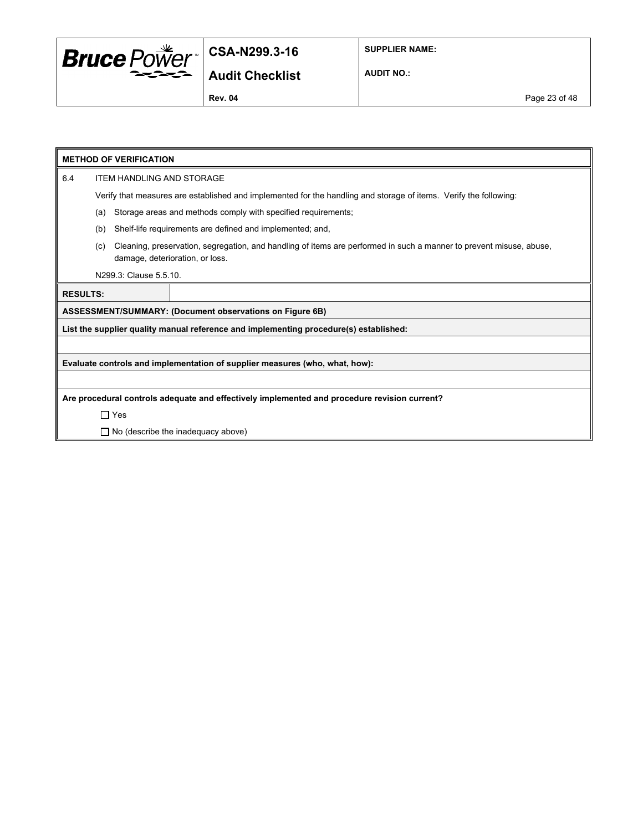

**SUPPLIER NAME:**

### **Audit Checklist**

**AUDIT NO.:**

## **METHOD OF VERIFICATION** 6.4 ITEM HANDLING AND STORAGE Verify that measures are established and implemented for the handling and storage of items. Verify the following: (a) Storage areas and methods comply with specified requirements; (b) Shelf-life requirements are defined and implemented; and, (c) Cleaning, preservation, segregation, and handling of items are performed in such a manner to prevent misuse, abuse, damage, deterioration, or loss. N299.3: Clause 5.5.10. **RESULTS: ASSESSMENT/SUMMARY: (Document observations on Figure 6B) List the supplier quality manual reference and implementing procedure(s) established: Evaluate controls and implementation of supplier measures (who, what, how): Are procedural controls adequate and effectively implemented and procedure revision current?** Yes  $\Box$  No (describe the inadequacy above)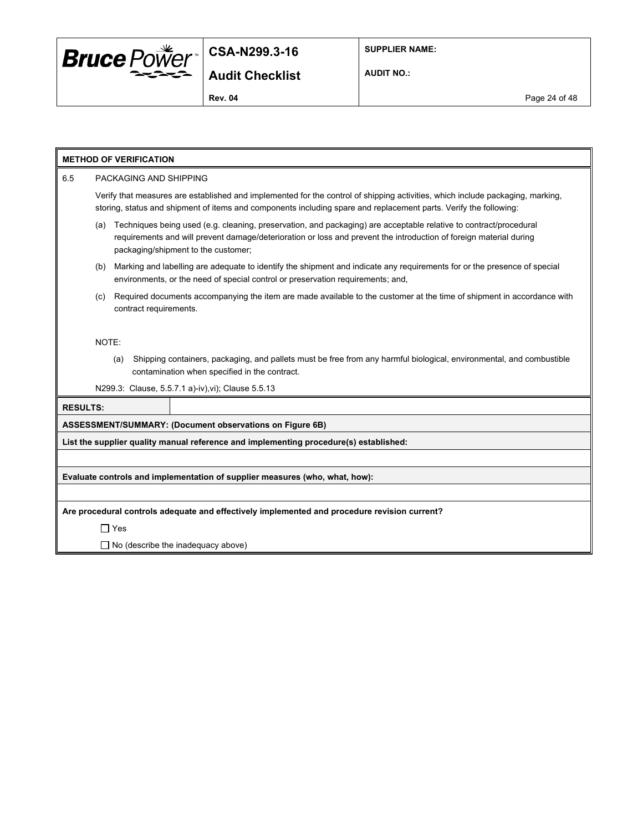

**SUPPLIER NAME:**

**AUDIT NO.:**

## **METHOD OF VERIFICATION** 6.5 PACKAGING AND SHIPPING Verify that measures are established and implemented for the control of shipping activities, which include packaging, marking, storing, status and shipment of items and components including spare and replacement parts. Verify the following: (a) Techniques being used (e.g. cleaning, preservation, and packaging) are acceptable relative to contract/procedural requirements and will prevent damage/deterioration or loss and prevent the introduction of foreign material during packaging/shipment to the customer; (b) Marking and labelling are adequate to identify the shipment and indicate any requirements for or the presence of special environments, or the need of special control or preservation requirements; and, (c) Required documents accompanying the item are made available to the customer at the time of shipment in accordance with contract requirements. NOTE: (a) Shipping containers, packaging, and pallets must be free from any harmful biological, environmental, and combustible contamination when specified in the contract. N299.3: Clause, 5.5.7.1 a)-iv),vi); Clause 5.5.13 **RESULTS: ASSESSMENT/SUMMARY: (Document observations on Figure 6B) List the supplier quality manual reference and implementing procedure(s) established: Evaluate controls and implementation of supplier measures (who, what, how): Are procedural controls adequate and effectively implemented and procedure revision current?** Yes  $\Box$  No (describe the inadequacy above)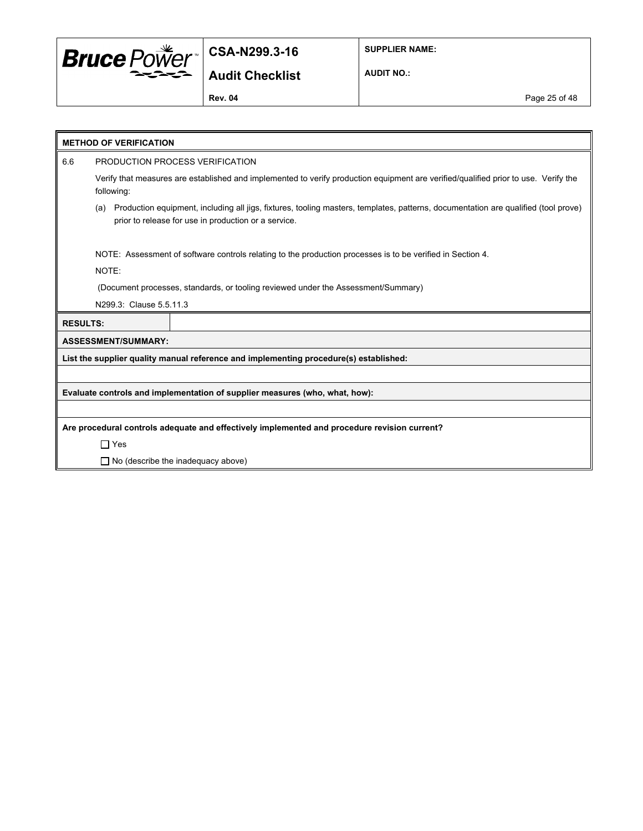

**SUPPLIER NAME:**

### **Audit Checklist**

**AUDIT NO.:**

**Rev. 04** Page 25 of 48

|                 | <b>METHOD OF VERIFICATION</b>                                                                                                                                                                     |                                                                                              |  |  |  |
|-----------------|---------------------------------------------------------------------------------------------------------------------------------------------------------------------------------------------------|----------------------------------------------------------------------------------------------|--|--|--|
| 6.6             | PRODUCTION PROCESS VERIFICATION                                                                                                                                                                   |                                                                                              |  |  |  |
|                 | Verify that measures are established and implemented to verify production equipment are verified/qualified prior to use. Verify the<br>following:                                                 |                                                                                              |  |  |  |
|                 | Production equipment, including all jigs, fixtures, tooling masters, templates, patterns, documentation are qualified (tool prove)<br>(a)<br>prior to release for use in production or a service. |                                                                                              |  |  |  |
|                 | NOTE: Assessment of software controls relating to the production processes is to be verified in Section 4.<br>NOTE:                                                                               |                                                                                              |  |  |  |
|                 |                                                                                                                                                                                                   | (Document processes, standards, or tooling reviewed under the Assessment/Summary)            |  |  |  |
|                 | N299.3: Clause 5.5.11.3                                                                                                                                                                           |                                                                                              |  |  |  |
| <b>RESULTS:</b> |                                                                                                                                                                                                   |                                                                                              |  |  |  |
|                 | <b>ASSESSMENT/SUMMARY:</b>                                                                                                                                                                        |                                                                                              |  |  |  |
|                 |                                                                                                                                                                                                   | List the supplier quality manual reference and implementing procedure(s) established:        |  |  |  |
|                 |                                                                                                                                                                                                   |                                                                                              |  |  |  |
|                 |                                                                                                                                                                                                   | Evaluate controls and implementation of supplier measures (who, what, how):                  |  |  |  |
|                 |                                                                                                                                                                                                   |                                                                                              |  |  |  |
|                 |                                                                                                                                                                                                   | Are procedural controls adequate and effectively implemented and procedure revision current? |  |  |  |
|                 | $\Box$ Yes                                                                                                                                                                                        |                                                                                              |  |  |  |
|                 |                                                                                                                                                                                                   | $\Box$ No (describe the inadequacy above)                                                    |  |  |  |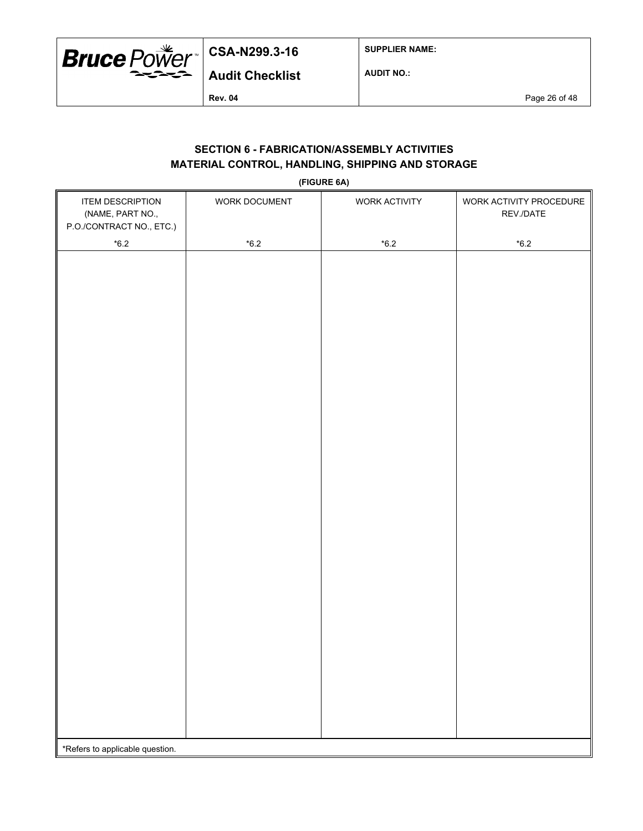

**SUPPLIER NAME:**

**AUDIT NO.:**

**Rev. 04** Page 26 of 48

### **SECTION 6 - FABRICATION/ASSEMBLY ACTIVITIES MATERIAL CONTROL, HANDLING, SHIPPING AND STORAGE**

**(FIGURE 6A)**

| <b>ITEM DESCRIPTION</b><br>(NAME, PART NO.,<br>P.O./CONTRACT NO., ETC.) | WORK DOCUMENT | WORK ACTIVITY | WORK ACTIVITY PROCEDURE<br>REV./DATE |  |
|-------------------------------------------------------------------------|---------------|---------------|--------------------------------------|--|
| $^{\star}6.2$                                                           | $*6.2$        | $^{\star}6.2$ | $^{\star}6.2$                        |  |
|                                                                         |               |               |                                      |  |
|                                                                         |               |               |                                      |  |
|                                                                         |               |               |                                      |  |
|                                                                         |               |               |                                      |  |
|                                                                         |               |               |                                      |  |
|                                                                         |               |               |                                      |  |
|                                                                         |               |               |                                      |  |
|                                                                         |               |               |                                      |  |
|                                                                         |               |               |                                      |  |
|                                                                         |               |               |                                      |  |
|                                                                         |               |               |                                      |  |
|                                                                         |               |               |                                      |  |
|                                                                         |               |               |                                      |  |
|                                                                         |               |               |                                      |  |
|                                                                         |               |               |                                      |  |
|                                                                         |               |               |                                      |  |
|                                                                         |               |               |                                      |  |
|                                                                         |               |               |                                      |  |
|                                                                         |               |               |                                      |  |
|                                                                         |               |               |                                      |  |
|                                                                         |               |               |                                      |  |
|                                                                         |               |               |                                      |  |
|                                                                         |               |               |                                      |  |
|                                                                         |               |               |                                      |  |
|                                                                         |               |               |                                      |  |
|                                                                         |               |               |                                      |  |
|                                                                         |               |               |                                      |  |
|                                                                         |               |               |                                      |  |
|                                                                         |               |               |                                      |  |
| *Refers to applicable question.                                         |               |               |                                      |  |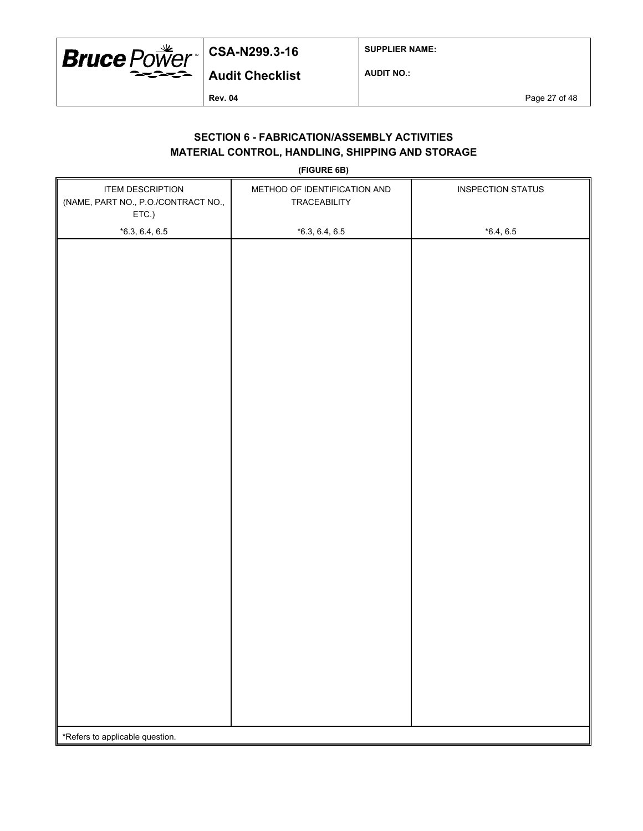

**SUPPLIER NAME:**

**AUDIT NO.:**

**Rev. 04** Page 27 of 48

### **SECTION 6 - FABRICATION/ASSEMBLY ACTIVITIES MATERIAL CONTROL, HANDLING, SHIPPING AND STORAGE**

**(FIGURE 6B)**

| <b>ITEM DESCRIPTION</b><br>(NAME, PART NO., P.O./CONTRACT NO.,<br>ETC.) | METHOD OF IDENTIFICATION AND<br>TRACEABILITY | <b>INSPECTION STATUS</b> |  |  |
|-------------------------------------------------------------------------|----------------------------------------------|--------------------------|--|--|
| $*6.3, 6.4, 6.5$                                                        | $*6.3, 6.4, 6.5$                             | $*6.4, 6.5$              |  |  |
|                                                                         |                                              |                          |  |  |
|                                                                         |                                              |                          |  |  |
|                                                                         |                                              |                          |  |  |
|                                                                         |                                              |                          |  |  |
|                                                                         |                                              |                          |  |  |
|                                                                         |                                              |                          |  |  |
|                                                                         |                                              |                          |  |  |
|                                                                         |                                              |                          |  |  |
|                                                                         |                                              |                          |  |  |
|                                                                         |                                              |                          |  |  |
|                                                                         |                                              |                          |  |  |
|                                                                         |                                              |                          |  |  |
|                                                                         |                                              |                          |  |  |
|                                                                         |                                              |                          |  |  |
|                                                                         |                                              |                          |  |  |
|                                                                         |                                              |                          |  |  |
|                                                                         |                                              |                          |  |  |
|                                                                         |                                              |                          |  |  |
|                                                                         |                                              |                          |  |  |
|                                                                         |                                              |                          |  |  |
|                                                                         |                                              |                          |  |  |
|                                                                         |                                              |                          |  |  |
|                                                                         |                                              |                          |  |  |
|                                                                         |                                              |                          |  |  |
|                                                                         |                                              |                          |  |  |
|                                                                         |                                              |                          |  |  |
| *Refers to applicable question.                                         |                                              |                          |  |  |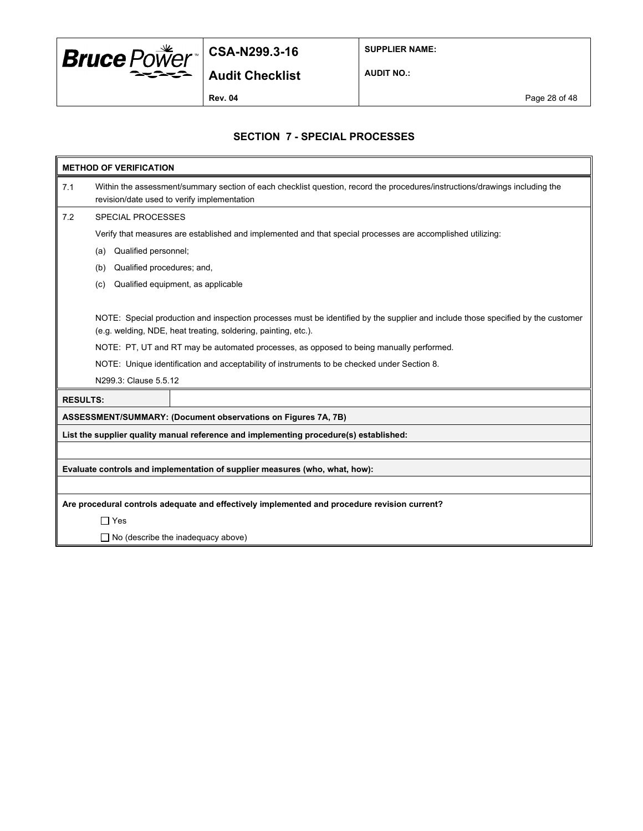

**SUPPLIER NAME:**

**Audit Checklist**

**AUDIT NO.:**

**Rev. 04** Page 28 of 48

### **SECTION 7 - SPECIAL PROCESSES**

|     | <b>METHOD OF VERIFICATION</b>                                                               |                                                                                                                                                                            |  |  |  |  |
|-----|---------------------------------------------------------------------------------------------|----------------------------------------------------------------------------------------------------------------------------------------------------------------------------|--|--|--|--|
| 7.1 |                                                                                             | Within the assessment/summary section of each checklist question, record the procedures/instructions/drawings including the<br>revision/date used to verify implementation |  |  |  |  |
| 7.2 | <b>SPECIAL PROCESSES</b>                                                                    |                                                                                                                                                                            |  |  |  |  |
|     |                                                                                             | Verify that measures are established and implemented and that special processes are accomplished utilizing:                                                                |  |  |  |  |
|     | Qualified personnel;<br>(a)                                                                 |                                                                                                                                                                            |  |  |  |  |
|     | Qualified procedures; and,<br>(b)                                                           |                                                                                                                                                                            |  |  |  |  |
|     | (c)                                                                                         | Qualified equipment, as applicable                                                                                                                                         |  |  |  |  |
|     |                                                                                             |                                                                                                                                                                            |  |  |  |  |
|     |                                                                                             | NOTE: Special production and inspection processes must be identified by the supplier and include those specified by the customer                                           |  |  |  |  |
|     |                                                                                             | (e.g. welding, NDE, heat treating, soldering, painting, etc.).                                                                                                             |  |  |  |  |
|     |                                                                                             | NOTE: PT, UT and RT may be automated processes, as opposed to being manually performed.                                                                                    |  |  |  |  |
|     | NOTE: Unique identification and acceptability of instruments to be checked under Section 8. |                                                                                                                                                                            |  |  |  |  |
|     | N299.3: Clause 5.5.12                                                                       |                                                                                                                                                                            |  |  |  |  |
|     | <b>RESULTS:</b>                                                                             |                                                                                                                                                                            |  |  |  |  |
|     |                                                                                             | ASSESSMENT/SUMMARY: (Document observations on Figures 7A, 7B)                                                                                                              |  |  |  |  |
|     |                                                                                             | List the supplier quality manual reference and implementing procedure(s) established:                                                                                      |  |  |  |  |
|     |                                                                                             |                                                                                                                                                                            |  |  |  |  |
|     |                                                                                             | Evaluate controls and implementation of supplier measures (who, what, how):                                                                                                |  |  |  |  |
|     |                                                                                             |                                                                                                                                                                            |  |  |  |  |
|     |                                                                                             | Are procedural controls adequate and effectively implemented and procedure revision current?                                                                               |  |  |  |  |
|     | $\Box$ Yes                                                                                  |                                                                                                                                                                            |  |  |  |  |
|     |                                                                                             | $\Box$ No (describe the inadequacy above)                                                                                                                                  |  |  |  |  |
|     |                                                                                             |                                                                                                                                                                            |  |  |  |  |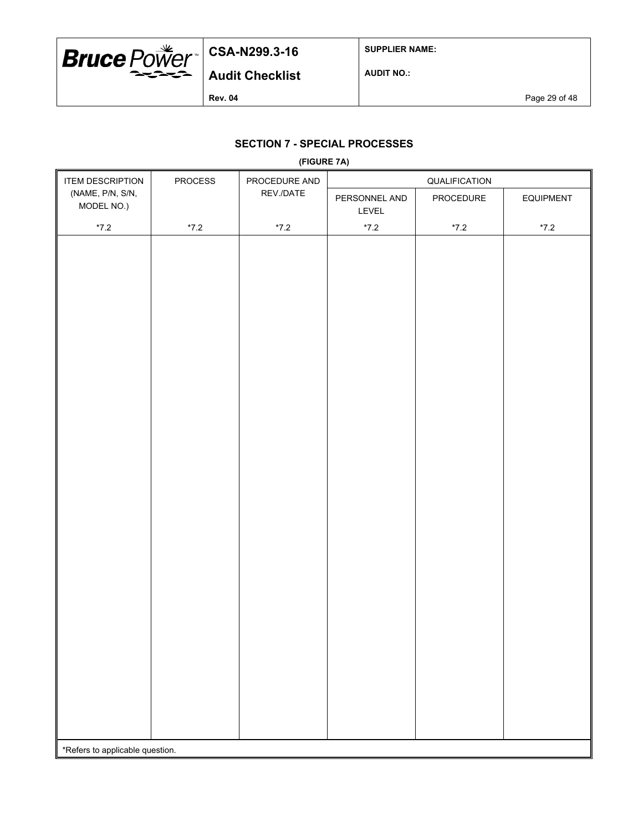

\*Refers to applicable question.

## **CSA-N299.3-16**

**SUPPLIER NAME:**

**AUDIT NO.:**

**Rev. 04** Page 29 of 48

### **SECTION 7 - SPECIAL PROCESSES**

|                                | <b>OLD IIOM / - OF LUIAL FRUULOOLD</b><br>(FIGURE 7A) |               |                        |               |                  |  |
|--------------------------------|-------------------------------------------------------|---------------|------------------------|---------------|------------------|--|
| <b>ITEM DESCRIPTION</b>        | <b>PROCESS</b>                                        | PROCEDURE AND | QUALIFICATION          |               |                  |  |
| (NAME, P/N, S/N,<br>MODEL NO.) |                                                       | REV./DATE     | PERSONNEL AND<br>LEVEL | PROCEDURE     | <b>EQUIPMENT</b> |  |
| $^{\star}7.2$                  | $^{\star}7.2$                                         | $^{\star}7.2$ | $^{\star}7.2$          | $^{\star}7.2$ | $^{\star}7.2$    |  |
|                                |                                                       |               |                        |               |                  |  |
|                                |                                                       |               |                        |               |                  |  |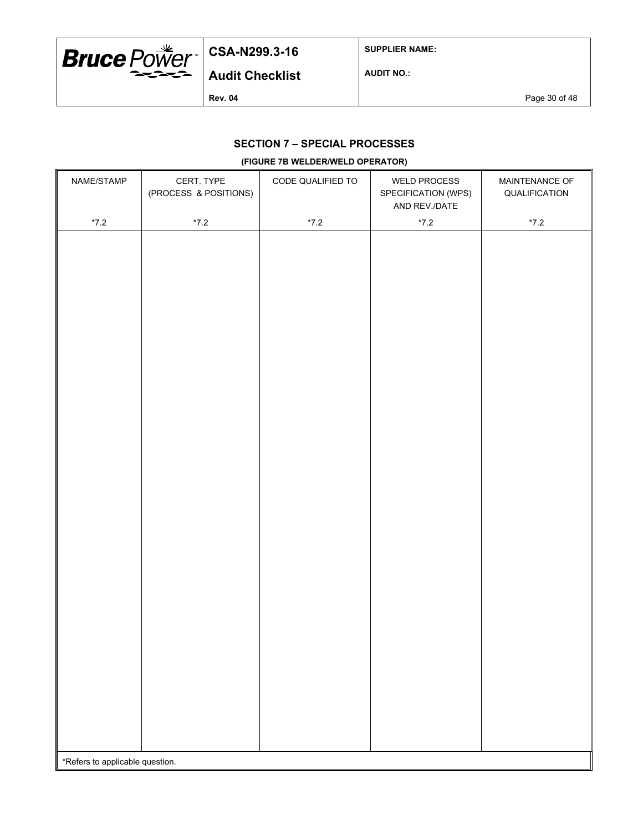

**SUPPLIER NAME:**

**Audit Checklist**

**AUDIT NO.:**

**Rev. 04** Page 30 of 48

## **SECTION 7 – SPECIAL PROCESSES**

#### **(FIGURE 7B WELDER/WELD OPERATOR)**

| NAME/STAMP                      | CERT. TYPE<br>(PROCESS & POSITIONS) | CODE QUALIFIED TO | <b>WELD PROCESS</b><br>SPECIFICATION (WPS)<br>AND REV./DATE | MAINTENANCE OF<br>QUALIFICATION |
|---------------------------------|-------------------------------------|-------------------|-------------------------------------------------------------|---------------------------------|
| $^{\star}7.2$                   | $^{\star}7.2$                       | $^{\star}7.2$     | $^{\star}7.2$                                               | $*7.2$                          |
|                                 |                                     |                   |                                                             |                                 |
|                                 |                                     |                   |                                                             |                                 |
|                                 |                                     |                   |                                                             |                                 |
|                                 |                                     |                   |                                                             |                                 |
|                                 |                                     |                   |                                                             |                                 |
|                                 |                                     |                   |                                                             |                                 |
|                                 |                                     |                   |                                                             |                                 |
|                                 |                                     |                   |                                                             |                                 |
|                                 |                                     |                   |                                                             |                                 |
|                                 |                                     |                   |                                                             |                                 |
|                                 |                                     |                   |                                                             |                                 |
|                                 |                                     |                   |                                                             |                                 |
|                                 |                                     |                   |                                                             |                                 |
|                                 |                                     |                   |                                                             |                                 |
|                                 |                                     |                   |                                                             |                                 |
|                                 |                                     |                   |                                                             |                                 |
|                                 |                                     |                   |                                                             |                                 |
|                                 |                                     |                   |                                                             |                                 |
|                                 |                                     |                   |                                                             |                                 |
|                                 |                                     |                   |                                                             |                                 |
|                                 |                                     |                   |                                                             |                                 |
|                                 |                                     |                   |                                                             |                                 |
|                                 |                                     |                   |                                                             |                                 |
|                                 |                                     |                   |                                                             |                                 |
|                                 |                                     |                   |                                                             |                                 |
|                                 |                                     |                   |                                                             |                                 |
|                                 |                                     |                   |                                                             |                                 |
|                                 |                                     |                   |                                                             |                                 |
|                                 |                                     |                   |                                                             |                                 |
|                                 |                                     |                   |                                                             |                                 |
| *Refers to applicable question. |                                     |                   |                                                             |                                 |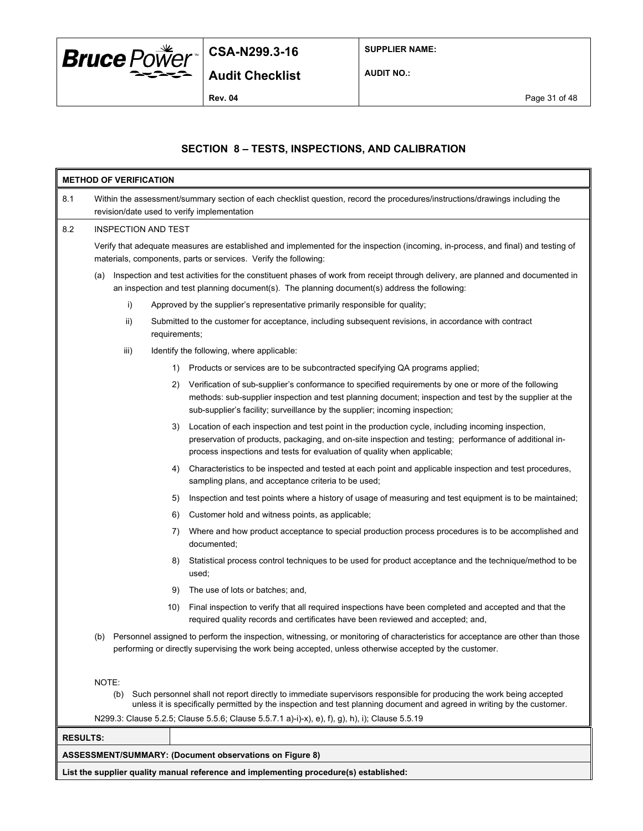

**SUPPLIER NAME:**

**AUDIT NO.:**

### **SECTION 8 – TESTS, INSPECTIONS, AND CALIBRATION**

|                                                                                       | <b>METHOD OF VERIFICATION</b>                                                                                                                                                                                                                                  |      |               |                                                                                                                                                                                                                                                                                                |  |
|---------------------------------------------------------------------------------------|----------------------------------------------------------------------------------------------------------------------------------------------------------------------------------------------------------------------------------------------------------------|------|---------------|------------------------------------------------------------------------------------------------------------------------------------------------------------------------------------------------------------------------------------------------------------------------------------------------|--|
| 8.1                                                                                   |                                                                                                                                                                                                                                                                |      |               | Within the assessment/summary section of each checklist question, record the procedures/instructions/drawings including the<br>revision/date used to verify implementation                                                                                                                     |  |
| 8.2                                                                                   | INSPECTION AND TEST                                                                                                                                                                                                                                            |      |               |                                                                                                                                                                                                                                                                                                |  |
|                                                                                       |                                                                                                                                                                                                                                                                |      |               | Verify that adequate measures are established and implemented for the inspection (incoming, in-process, and final) and testing of<br>materials, components, parts or services. Verify the following:                                                                                           |  |
|                                                                                       | (a)                                                                                                                                                                                                                                                            |      |               | Inspection and test activities for the constituent phases of work from receipt through delivery, are planned and documented in<br>an inspection and test planning document(s). The planning document(s) address the following:                                                                 |  |
|                                                                                       |                                                                                                                                                                                                                                                                | i)   |               | Approved by the supplier's representative primarily responsible for quality;                                                                                                                                                                                                                   |  |
|                                                                                       |                                                                                                                                                                                                                                                                | ii)  | requirements; | Submitted to the customer for acceptance, including subsequent revisions, in accordance with contract                                                                                                                                                                                          |  |
|                                                                                       |                                                                                                                                                                                                                                                                | iii) |               | Identify the following, where applicable:                                                                                                                                                                                                                                                      |  |
|                                                                                       |                                                                                                                                                                                                                                                                |      | 1)            | Products or services are to be subcontracted specifying QA programs applied;                                                                                                                                                                                                                   |  |
|                                                                                       |                                                                                                                                                                                                                                                                |      | 2)            | Verification of sub-supplier's conformance to specified requirements by one or more of the following<br>methods: sub-supplier inspection and test planning document; inspection and test by the supplier at the<br>sub-supplier's facility; surveillance by the supplier; incoming inspection; |  |
|                                                                                       |                                                                                                                                                                                                                                                                |      | 3)            | Location of each inspection and test point in the production cycle, including incoming inspection,<br>preservation of products, packaging, and on-site inspection and testing; performance of additional in-<br>process inspections and tests for evaluation of quality when applicable;       |  |
|                                                                                       |                                                                                                                                                                                                                                                                |      | 4)            | Characteristics to be inspected and tested at each point and applicable inspection and test procedures,<br>sampling plans, and acceptance criteria to be used;                                                                                                                                 |  |
|                                                                                       |                                                                                                                                                                                                                                                                |      | 5)            | Inspection and test points where a history of usage of measuring and test equipment is to be maintained;                                                                                                                                                                                       |  |
|                                                                                       |                                                                                                                                                                                                                                                                |      | 6)            | Customer hold and witness points, as applicable;                                                                                                                                                                                                                                               |  |
|                                                                                       |                                                                                                                                                                                                                                                                |      | 7)            | Where and how product acceptance to special production process procedures is to be accomplished and<br>documented;                                                                                                                                                                             |  |
|                                                                                       |                                                                                                                                                                                                                                                                |      | 8)            | Statistical process control techniques to be used for product acceptance and the technique/method to be<br>used;                                                                                                                                                                               |  |
|                                                                                       |                                                                                                                                                                                                                                                                |      | 9)            | The use of lots or batches; and,                                                                                                                                                                                                                                                               |  |
|                                                                                       |                                                                                                                                                                                                                                                                |      | 10)           | Final inspection to verify that all required inspections have been completed and accepted and that the<br>required quality records and certificates have been reviewed and accepted; and,                                                                                                      |  |
|                                                                                       | (b)                                                                                                                                                                                                                                                            |      |               | Personnel assigned to perform the inspection, witnessing, or monitoring of characteristics for acceptance are other than those<br>performing or directly supervising the work being accepted, unless otherwise accepted by the customer.                                                       |  |
|                                                                                       | NOTE:<br>Such personnel shall not report directly to immediate supervisors responsible for producing the work being accepted<br>(b)<br>unless it is specifically permitted by the inspection and test planning document and agreed in writing by the customer. |      |               |                                                                                                                                                                                                                                                                                                |  |
|                                                                                       |                                                                                                                                                                                                                                                                |      |               | N299.3: Clause 5.2.5; Clause 5.5.6; Clause 5.5.7.1 a)-i)-x), e), f), g), h), i); Clause 5.5.19                                                                                                                                                                                                 |  |
| <b>RESULTS:</b>                                                                       |                                                                                                                                                                                                                                                                |      |               |                                                                                                                                                                                                                                                                                                |  |
|                                                                                       |                                                                                                                                                                                                                                                                |      |               | <b>ASSESSMENT/SUMMARY: (Document observations on Figure 8)</b>                                                                                                                                                                                                                                 |  |
| List the supplier quality manual reference and implementing procedure(s) established: |                                                                                                                                                                                                                                                                |      |               |                                                                                                                                                                                                                                                                                                |  |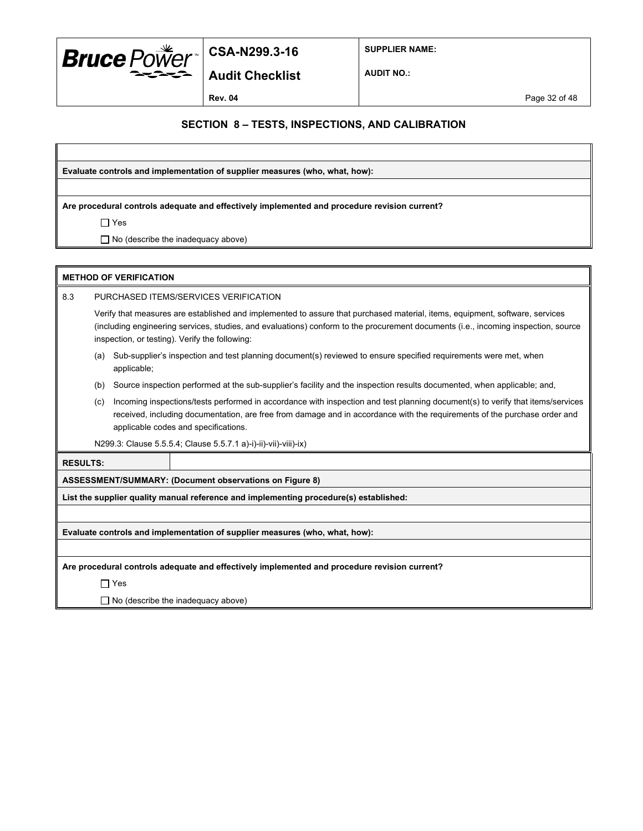

**Audit Checklist**

**SUPPLIER NAME:**

**AUDIT NO.:**

**Rev. 04** Page 32 of 48

### **SECTION 8 – TESTS, INSPECTIONS, AND CALIBRATION**

**Evaluate controls and implementation of supplier measures (who, what, how):**

**Are procedural controls adequate and effectively implemented and procedure revision current?**

Yes

□ No (describe the inadequacy above)

| <b>METHOD OF VERIFICATION</b> |                                                                                                                                                                                                                                                                                                                      |  |                                                                                       |  |  |  |
|-------------------------------|----------------------------------------------------------------------------------------------------------------------------------------------------------------------------------------------------------------------------------------------------------------------------------------------------------------------|--|---------------------------------------------------------------------------------------|--|--|--|
| 8.3                           | PURCHASED ITEMS/SERVICES VERIFICATION                                                                                                                                                                                                                                                                                |  |                                                                                       |  |  |  |
|                               | Verify that measures are established and implemented to assure that purchased material, items, equipment, software, services<br>(including engineering services, studies, and evaluations) conform to the procurement documents (i.e., incoming inspection, source<br>inspection, or testing). Verify the following: |  |                                                                                       |  |  |  |
|                               | Sub-supplier's inspection and test planning document(s) reviewed to ensure specified requirements were met, when<br>(a)<br>applicable;                                                                                                                                                                               |  |                                                                                       |  |  |  |
|                               | Source inspection performed at the sub-supplier's facility and the inspection results documented, when applicable; and,<br>(b)                                                                                                                                                                                       |  |                                                                                       |  |  |  |
|                               | Incoming inspections/tests performed in accordance with inspection and test planning document(s) to verify that items/services<br>(c)<br>received, including documentation, are free from damage and in accordance with the requirements of the purchase order and<br>applicable codes and specifications.           |  |                                                                                       |  |  |  |
|                               | N299.3: Clause 5.5.5.4; Clause 5.5.7.1 a)-i)-ii)-vii)-viii)-ix)                                                                                                                                                                                                                                                      |  |                                                                                       |  |  |  |
| <b>RESULTS:</b>               |                                                                                                                                                                                                                                                                                                                      |  |                                                                                       |  |  |  |
|                               |                                                                                                                                                                                                                                                                                                                      |  | ASSESSMENT/SUMMARY: (Document observations on Figure 8)                               |  |  |  |
|                               |                                                                                                                                                                                                                                                                                                                      |  | List the supplier quality manual reference and implementing procedure(s) established: |  |  |  |
|                               |                                                                                                                                                                                                                                                                                                                      |  |                                                                                       |  |  |  |
|                               |                                                                                                                                                                                                                                                                                                                      |  | Evaluate controls and implementation of supplier measures (who, what, how):           |  |  |  |
|                               |                                                                                                                                                                                                                                                                                                                      |  |                                                                                       |  |  |  |

**Are procedural controls adequate and effectively implemented and procedure revision current?**

Yes

□ No (describe the inadequacy above)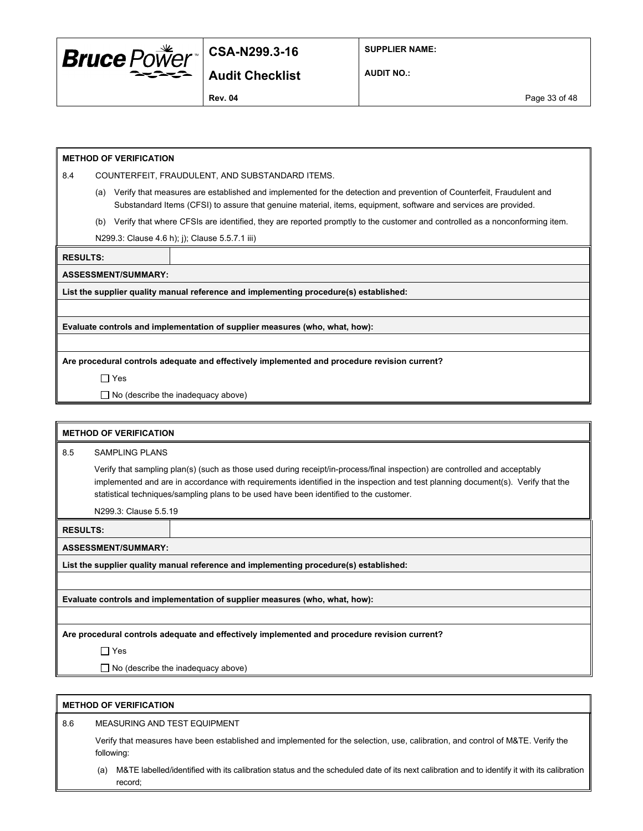

**SUPPLIER NAME:**

**Audit Checklist**

**AUDIT NO.:**

**Rev. 04** Page 33 of 48

#### **METHOD OF VERIFICATION**

8.4 COUNTERFEIT, FRAUDULENT, AND SUBSTANDARD ITEMS.

- (a) Verify that measures are established and implemented for the detection and prevention of Counterfeit, Fraudulent and Substandard Items (CFSI) to assure that genuine material, items, equipment, software and services are provided.
- (b) Verify that where CFSIs are identified, they are reported promptly to the customer and controlled as a nonconforming item.

N299.3: Clause 4.6 h); j); Clause 5.5.7.1 iii)

**RESULTS:**

**ASSESSMENT/SUMMARY:**

**List the supplier quality manual reference and implementing procedure(s) established:**

**Evaluate controls and implementation of supplier measures (who, what, how):**

**Are procedural controls adequate and effectively implemented and procedure revision current?**

Yes

 $\Box$  No (describe the inadequacy above)

| <b>METHOD OF VERIFICATION</b> |                                                                                                                                                                                                                                                                                                                                                         |                                                                                       |  |  |  |
|-------------------------------|---------------------------------------------------------------------------------------------------------------------------------------------------------------------------------------------------------------------------------------------------------------------------------------------------------------------------------------------------------|---------------------------------------------------------------------------------------|--|--|--|
| 8.5                           | <b>SAMPLING PLANS</b>                                                                                                                                                                                                                                                                                                                                   |                                                                                       |  |  |  |
|                               | Verify that sampling plan(s) (such as those used during receipt/in-process/final inspection) are controlled and acceptably<br>implemented and are in accordance with requirements identified in the inspection and test planning document(s). Verify that the<br>statistical techniques/sampling plans to be used have been identified to the customer. |                                                                                       |  |  |  |
|                               | N299.3: Clause 5.5.19                                                                                                                                                                                                                                                                                                                                   |                                                                                       |  |  |  |
| <b>RESULTS:</b>               |                                                                                                                                                                                                                                                                                                                                                         |                                                                                       |  |  |  |
|                               | <b>ASSESSMENT/SUMMARY:</b>                                                                                                                                                                                                                                                                                                                              |                                                                                       |  |  |  |
|                               |                                                                                                                                                                                                                                                                                                                                                         | List the supplier quality manual reference and implementing procedure(s) established: |  |  |  |
|                               |                                                                                                                                                                                                                                                                                                                                                         |                                                                                       |  |  |  |
|                               |                                                                                                                                                                                                                                                                                                                                                         | Evaluate controls and implementation of supplier measures (who, what, how):           |  |  |  |
|                               |                                                                                                                                                                                                                                                                                                                                                         |                                                                                       |  |  |  |
|                               | Are procedural controls adequate and effectively implemented and procedure revision current?                                                                                                                                                                                                                                                            |                                                                                       |  |  |  |
|                               | $\Box$ Yes                                                                                                                                                                                                                                                                                                                                              |                                                                                       |  |  |  |
|                               |                                                                                                                                                                                                                                                                                                                                                         | $\Box$ No (describe the inadequacy above)                                             |  |  |  |

#### **METHOD OF VERIFICATION**

8.6 MEASURING AND TEST EQUIPMENT

Verify that measures have been established and implemented for the selection, use, calibration, and control of M&TE. Verify the following:

(a) M&TE labelled/identified with its calibration status and the scheduled date of its next calibration and to identify it with its calibration record;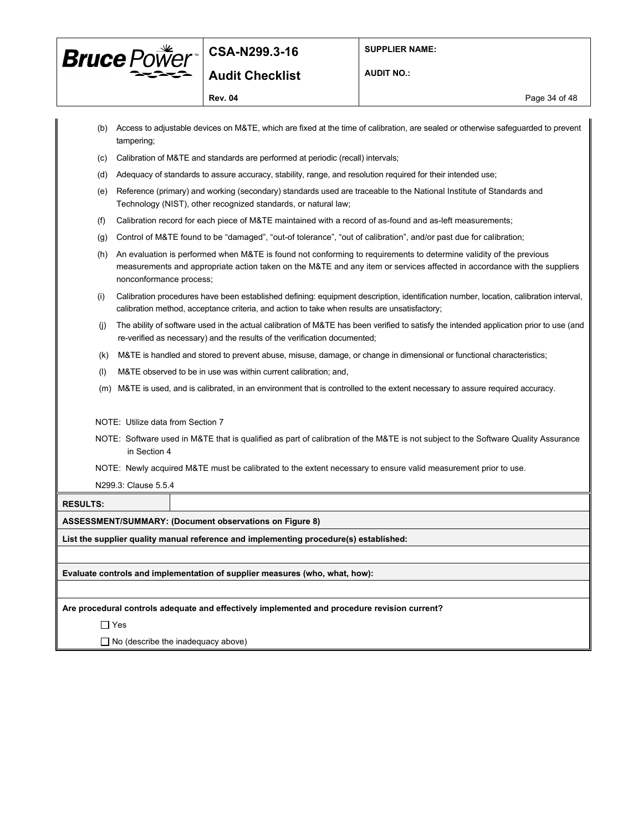

**AUDIT NO.:**

**Rev. 04** Page 34 of 48

|                 |                                           | (b) Access to adjustable devices on M&TE, which are fixed at the time of calibration, are sealed or otherwise safeguarded to prevent                                                                                                           |  |  |  |  |
|-----------------|-------------------------------------------|------------------------------------------------------------------------------------------------------------------------------------------------------------------------------------------------------------------------------------------------|--|--|--|--|
| (c)             | tampering;                                | Calibration of M&TE and standards are performed at periodic (recall) intervals;                                                                                                                                                                |  |  |  |  |
|                 |                                           |                                                                                                                                                                                                                                                |  |  |  |  |
| (d)             |                                           | Adequacy of standards to assure accuracy, stability, range, and resolution required for their intended use;                                                                                                                                    |  |  |  |  |
| (e)             |                                           | Reference (primary) and working (secondary) standards used are traceable to the National Institute of Standards and<br>Technology (NIST), other recognized standards, or natural law;                                                          |  |  |  |  |
| (f)             |                                           | Calibration record for each piece of M&TE maintained with a record of as-found and as-left measurements;                                                                                                                                       |  |  |  |  |
| (g)             |                                           | Control of M&TE found to be "damaged", "out-of tolerance", "out of calibration", and/or past due for calibration;                                                                                                                              |  |  |  |  |
| (h)             | nonconformance process;                   | An evaluation is performed when M&TE is found not conforming to requirements to determine validity of the previous<br>measurements and appropriate action taken on the M&TE and any item or services affected in accordance with the suppliers |  |  |  |  |
| (i)             |                                           | Calibration procedures have been established defining: equipment description, identification number, location, calibration interval,<br>calibration method, acceptance criteria, and action to take when results are unsatisfactory;           |  |  |  |  |
| (i)             |                                           | The ability of software used in the actual calibration of M&TE has been verified to satisfy the intended application prior to use (and<br>re-verified as necessary) and the results of the verification documented;                            |  |  |  |  |
| (k)             |                                           | M&TE is handled and stored to prevent abuse, misuse, damage, or change in dimensional or functional characteristics;                                                                                                                           |  |  |  |  |
| (1)             |                                           | M&TE observed to be in use was within current calibration; and,                                                                                                                                                                                |  |  |  |  |
| (m)             |                                           | M&TE is used, and is calibrated, in an environment that is controlled to the extent necessary to assure required accuracy.                                                                                                                     |  |  |  |  |
|                 | NOTE: Utilize data from Section 7         |                                                                                                                                                                                                                                                |  |  |  |  |
|                 | in Section 4                              | NOTE: Software used in M&TE that is qualified as part of calibration of the M&TE is not subject to the Software Quality Assurance                                                                                                              |  |  |  |  |
|                 |                                           | NOTE: Newly acquired M&TE must be calibrated to the extent necessary to ensure valid measurement prior to use.                                                                                                                                 |  |  |  |  |
|                 | N299.3: Clause 5.5.4                      |                                                                                                                                                                                                                                                |  |  |  |  |
| <b>RESULTS:</b> |                                           |                                                                                                                                                                                                                                                |  |  |  |  |
|                 |                                           | ASSESSMENT/SUMMARY: (Document observations on Figure 8)                                                                                                                                                                                        |  |  |  |  |
|                 |                                           | List the supplier quality manual reference and implementing procedure(s) established:                                                                                                                                                          |  |  |  |  |
|                 |                                           |                                                                                                                                                                                                                                                |  |  |  |  |
|                 |                                           | Evaluate controls and implementation of supplier measures (who, what, how):                                                                                                                                                                    |  |  |  |  |
|                 |                                           |                                                                                                                                                                                                                                                |  |  |  |  |
|                 |                                           | Are procedural controls adequate and effectively implemented and procedure revision current?                                                                                                                                                   |  |  |  |  |
|                 | $\Box$ Yes                                |                                                                                                                                                                                                                                                |  |  |  |  |
|                 | $\Box$ No (describe the inadequacy above) |                                                                                                                                                                                                                                                |  |  |  |  |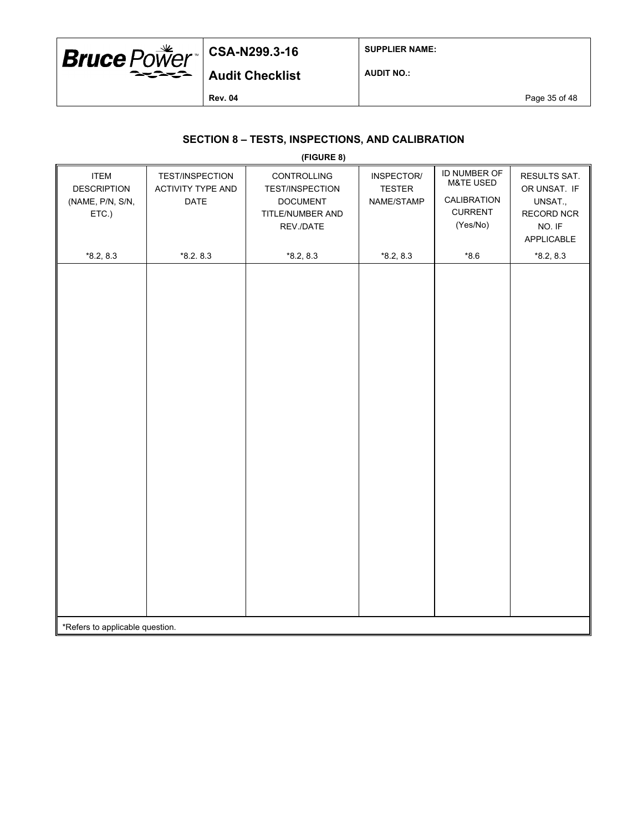

**SUPPLIER NAME:**

**Audit Checklist**

**AUDIT NO.:**

**Rev. 04** Page 35 of 48

### **SECTION 8 – TESTS, INSPECTIONS, AND CALIBRATION**

|                                                                |                                              | (FIGURE 8)                                                                                |                                           |                                                                                   |                                                                               |
|----------------------------------------------------------------|----------------------------------------------|-------------------------------------------------------------------------------------------|-------------------------------------------|-----------------------------------------------------------------------------------|-------------------------------------------------------------------------------|
| <b>ITEM</b><br><b>DESCRIPTION</b><br>(NAME, P/N, S/N,<br>ETC.) | TEST/INSPECTION<br>ACTIVITY TYPE AND<br>DATE | CONTROLLING<br><b>TEST/INSPECTION</b><br><b>DOCUMENT</b><br>TITLE/NUMBER AND<br>REV./DATE | INSPECTOR/<br><b>TESTER</b><br>NAME/STAMP | ID NUMBER OF<br><b>M&amp;TE USED</b><br>CALIBRATION<br><b>CURRENT</b><br>(Yes/No) | RESULTS SAT.<br>OR UNSAT. IF<br>UNSAT.,<br>RECORD NCR<br>NO. IF<br>APPLICABLE |
| $*8.2, 8.3$                                                    | $*8.2.8.3$                                   | $*8.2, 8.3$                                                                               | $*8.2, 8.3$                               | $*8.6$                                                                            | $*8.2, 8.3$                                                                   |
|                                                                |                                              |                                                                                           |                                           |                                                                                   |                                                                               |
| *Refers to applicable question.                                |                                              |                                                                                           |                                           |                                                                                   |                                                                               |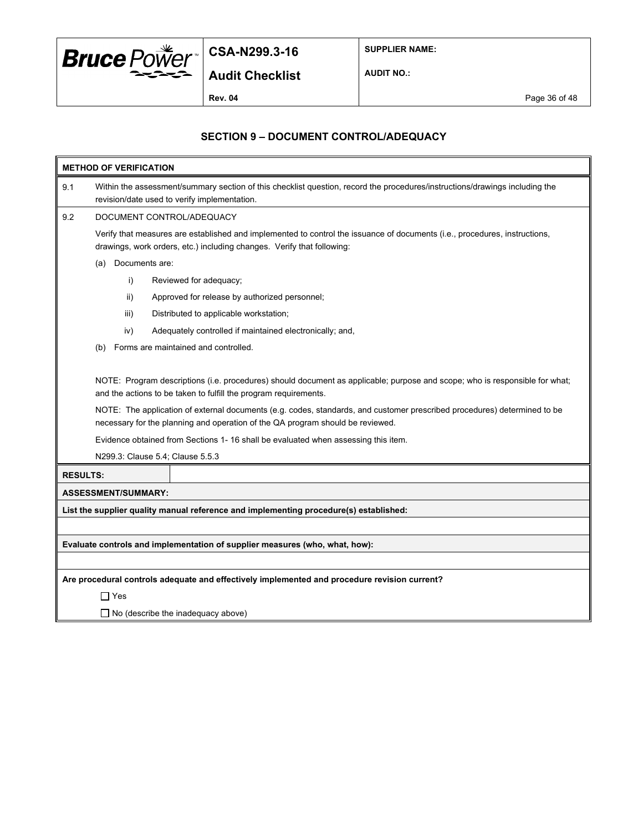

**SUPPLIER NAME:**

**AUDIT NO.:**

**Rev. 04** Page 36 of 48

### **SECTION 9 – DOCUMENT CONTROL/ADEQUACY**

| <b>METHOD OF VERIFICATION</b> |                                                                                                                                                                                                      |                                                                                                                                                                                                            |  |  |  |  |  |  |
|-------------------------------|------------------------------------------------------------------------------------------------------------------------------------------------------------------------------------------------------|------------------------------------------------------------------------------------------------------------------------------------------------------------------------------------------------------------|--|--|--|--|--|--|
| 9.1                           | Within the assessment/summary section of this checklist question, record the procedures/instructions/drawings including the<br>revision/date used to verify implementation.                          |                                                                                                                                                                                                            |  |  |  |  |  |  |
| 9.2                           | DOCUMENT CONTROL/ADEQUACY                                                                                                                                                                            |                                                                                                                                                                                                            |  |  |  |  |  |  |
|                               | Verify that measures are established and implemented to control the issuance of documents (i.e., procedures, instructions,<br>drawings, work orders, etc.) including changes. Verify that following: |                                                                                                                                                                                                            |  |  |  |  |  |  |
|                               | Documents are:<br>(a)                                                                                                                                                                                |                                                                                                                                                                                                            |  |  |  |  |  |  |
|                               | i)                                                                                                                                                                                                   | Reviewed for adequacy;                                                                                                                                                                                     |  |  |  |  |  |  |
|                               | ii)                                                                                                                                                                                                  | Approved for release by authorized personnel;                                                                                                                                                              |  |  |  |  |  |  |
|                               | iii)                                                                                                                                                                                                 | Distributed to applicable workstation;                                                                                                                                                                     |  |  |  |  |  |  |
|                               | iv)                                                                                                                                                                                                  | Adequately controlled if maintained electronically; and,                                                                                                                                                   |  |  |  |  |  |  |
|                               | (b)                                                                                                                                                                                                  | Forms are maintained and controlled.                                                                                                                                                                       |  |  |  |  |  |  |
|                               |                                                                                                                                                                                                      | NOTE: Program descriptions (i.e. procedures) should document as applicable; purpose and scope; who is responsible for what;<br>and the actions to be taken to fulfill the program requirements.            |  |  |  |  |  |  |
|                               |                                                                                                                                                                                                      | NOTE: The application of external documents (e.g. codes, standards, and customer prescribed procedures) determined to be<br>necessary for the planning and operation of the QA program should be reviewed. |  |  |  |  |  |  |
|                               |                                                                                                                                                                                                      | Evidence obtained from Sections 1- 16 shall be evaluated when assessing this item.                                                                                                                         |  |  |  |  |  |  |
|                               |                                                                                                                                                                                                      | N299.3: Clause 5.4; Clause 5.5.3                                                                                                                                                                           |  |  |  |  |  |  |
| <b>RESULTS:</b>               |                                                                                                                                                                                                      |                                                                                                                                                                                                            |  |  |  |  |  |  |
|                               | <b>ASSESSMENT/SUMMARY:</b>                                                                                                                                                                           |                                                                                                                                                                                                            |  |  |  |  |  |  |
|                               |                                                                                                                                                                                                      | List the supplier quality manual reference and implementing procedure(s) established:                                                                                                                      |  |  |  |  |  |  |
|                               |                                                                                                                                                                                                      |                                                                                                                                                                                                            |  |  |  |  |  |  |
|                               |                                                                                                                                                                                                      | Evaluate controls and implementation of supplier measures (who, what, how):                                                                                                                                |  |  |  |  |  |  |
|                               |                                                                                                                                                                                                      |                                                                                                                                                                                                            |  |  |  |  |  |  |
|                               |                                                                                                                                                                                                      | Are procedural controls adequate and effectively implemented and procedure revision current?                                                                                                               |  |  |  |  |  |  |
|                               | $\Box$ Yes                                                                                                                                                                                           |                                                                                                                                                                                                            |  |  |  |  |  |  |
|                               |                                                                                                                                                                                                      |                                                                                                                                                                                                            |  |  |  |  |  |  |

□ No (describe the inadequacy above)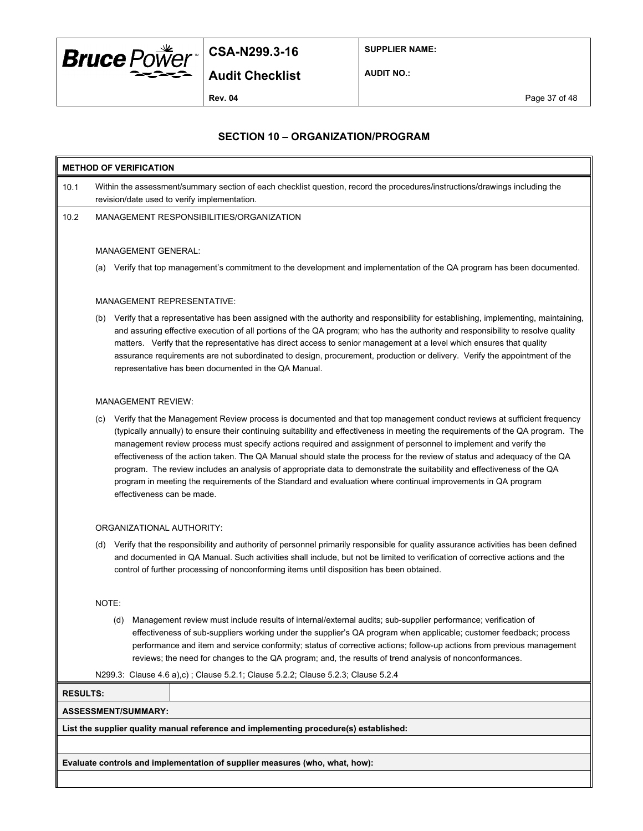

**SUPPLIER NAME:**

**Audit Checklist**

**AUDIT NO.:**

**Rev. 04** Page 37 of 48

#### **SECTION 10 – ORGANIZATION/PROGRAM**

## **METHOD OF VERIFICATION** 10.1 Within the assessment/summary section of each checklist question, record the procedures/instructions/drawings including the revision/date used to verify implementation. 10.2 MANAGEMENT RESPONSIBILITIES/ORGANIZATION MANAGEMENT GENERAL: (a) Verify that top management's commitment to the development and implementation of the QA program has been documented. MANAGEMENT REPRESENTATIVE: (b) Verify that a representative has been assigned with the authority and responsibility for establishing, implementing, maintaining, and assuring effective execution of all portions of the QA program; who has the authority and responsibility to resolve quality matters. Verify that the representative has direct access to senior management at a level which ensures that quality assurance requirements are not subordinated to design, procurement, production or delivery. Verify the appointment of the representative has been documented in the QA Manual.

#### MANAGEMENT REVIEW:

(c) Verify that the Management Review process is documented and that top management conduct reviews at sufficient frequency (typically annually) to ensure their continuing suitability and effectiveness in meeting the requirements of the QA program. The management review process must specify actions required and assignment of personnel to implement and verify the effectiveness of the action taken. The QA Manual should state the process for the review of status and adequacy of the QA program. The review includes an analysis of appropriate data to demonstrate the suitability and effectiveness of the QA program in meeting the requirements of the Standard and evaluation where continual improvements in QA program effectiveness can be made.

#### ORGANIZATIONAL AUTHORITY:

(d) Verify that the responsibility and authority of personnel primarily responsible for quality assurance activities has been defined and documented in QA Manual. Such activities shall include, but not be limited to verification of corrective actions and the control of further processing of nonconforming items until disposition has been obtained.

#### NOTE:

- (d) Management review must include results of internal/external audits; sub-supplier performance; verification of effectiveness of sub-suppliers working under the supplier's QA program when applicable; customer feedback; process performance and item and service conformity; status of corrective actions; follow-up actions from previous management reviews; the need for changes to the QA program; and, the results of trend analysis of nonconformances.
- N299.3: Clause 4.6 a),c) ; Clause 5.2.1; Clause 5.2.2; Clause 5.2.3; Clause 5.2.4

**RESULTS:**

#### **ASSESSMENT/SUMMARY:**

**List the supplier quality manual reference and implementing procedure(s) established:**

**Evaluate controls and implementation of supplier measures (who, what, how):**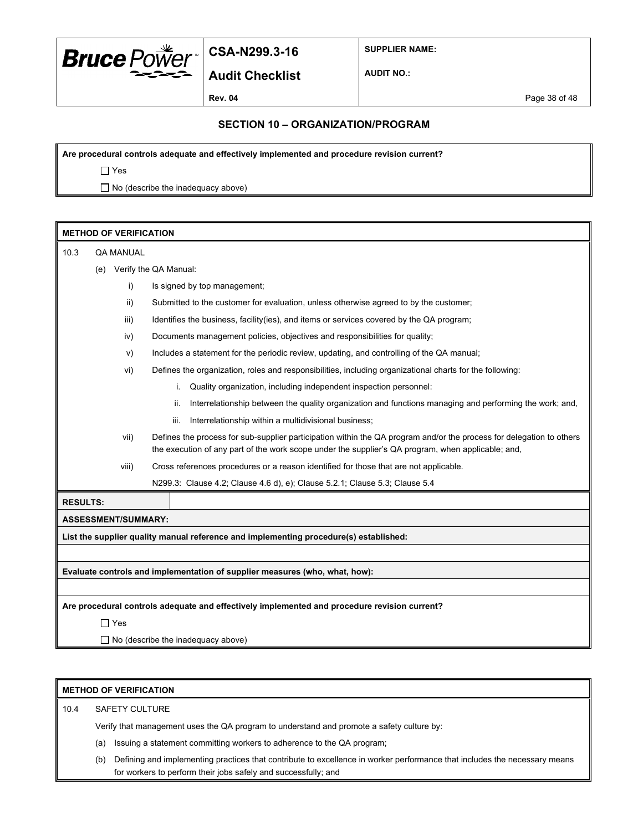

**Audit Checklist**

**SUPPLIER NAME:**

**AUDIT NO.:**

**Rev. 04** Page 38 of 48

#### **SECTION 10 – ORGANIZATION/PROGRAM**

**Are procedural controls adequate and effectively implemented and procedure revision current?**

Yes

 $\Box$  No (describe the inadequacy above)

| <b>METHOD OF VERIFICATION</b> |                                                                                              |                            |                                                                                                                                                                                                                            |
|-------------------------------|----------------------------------------------------------------------------------------------|----------------------------|----------------------------------------------------------------------------------------------------------------------------------------------------------------------------------------------------------------------------|
| 10.3                          | <b>QA MANUAL</b>                                                                             |                            |                                                                                                                                                                                                                            |
|                               | (e)                                                                                          |                            | Verify the QA Manual:                                                                                                                                                                                                      |
|                               |                                                                                              | i)                         | Is signed by top management;                                                                                                                                                                                               |
|                               |                                                                                              | ii)                        | Submitted to the customer for evaluation, unless otherwise agreed to by the customer;                                                                                                                                      |
|                               |                                                                                              | iii)                       | Identifies the business, facility (ies), and items or services covered by the QA program;                                                                                                                                  |
|                               |                                                                                              | iv)                        | Documents management policies, objectives and responsibilities for quality;                                                                                                                                                |
|                               |                                                                                              | v)                         | Includes a statement for the periodic review, updating, and controlling of the QA manual;                                                                                                                                  |
|                               |                                                                                              | vi)                        | Defines the organization, roles and responsibilities, including organizational charts for the following:                                                                                                                   |
|                               |                                                                                              |                            | Quality organization, including independent inspection personnel:<br>i.                                                                                                                                                    |
|                               |                                                                                              |                            | Interrelationship between the quality organization and functions managing and performing the work; and,<br>ii.                                                                                                             |
|                               |                                                                                              |                            | Interrelationship within a multidivisional business;<br>iii.                                                                                                                                                               |
|                               |                                                                                              | vii)                       | Defines the process for sub-supplier participation within the QA program and/or the process for delegation to others<br>the execution of any part of the work scope under the supplier's QA program, when applicable; and, |
|                               |                                                                                              | viii)                      | Cross references procedures or a reason identified for those that are not applicable.                                                                                                                                      |
|                               |                                                                                              |                            | N299.3: Clause 4.2; Clause 4.6 d), e); Clause 5.2.1; Clause 5.3; Clause 5.4                                                                                                                                                |
| <b>RESULTS:</b>               |                                                                                              |                            |                                                                                                                                                                                                                            |
|                               |                                                                                              | <b>ASSESSMENT/SUMMARY:</b> |                                                                                                                                                                                                                            |
|                               |                                                                                              |                            | List the supplier quality manual reference and implementing procedure(s) established:                                                                                                                                      |
|                               |                                                                                              |                            |                                                                                                                                                                                                                            |
|                               |                                                                                              |                            | Evaluate controls and implementation of supplier measures (who, what, how):                                                                                                                                                |
|                               |                                                                                              |                            |                                                                                                                                                                                                                            |
|                               | Are procedural controls adequate and effectively implemented and procedure revision current? |                            |                                                                                                                                                                                                                            |
|                               |                                                                                              | $\Box$ Yes                 |                                                                                                                                                                                                                            |
|                               |                                                                                              |                            | $\Box$ No (describe the inadequacy above)                                                                                                                                                                                  |

|      | <b>METHOD OF VERIFICATION</b> |  |  |  |
|------|-------------------------------|--|--|--|
| 10.4 | <b>SAFETY CULTURE</b>         |  |  |  |

Verify that management uses the QA program to understand and promote a safety culture by:

- (a) Issuing a statement committing workers to adherence to the QA program;
- (b) Defining and implementing practices that contribute to excellence in worker performance that includes the necessary means for workers to perform their jobs safely and successfully; and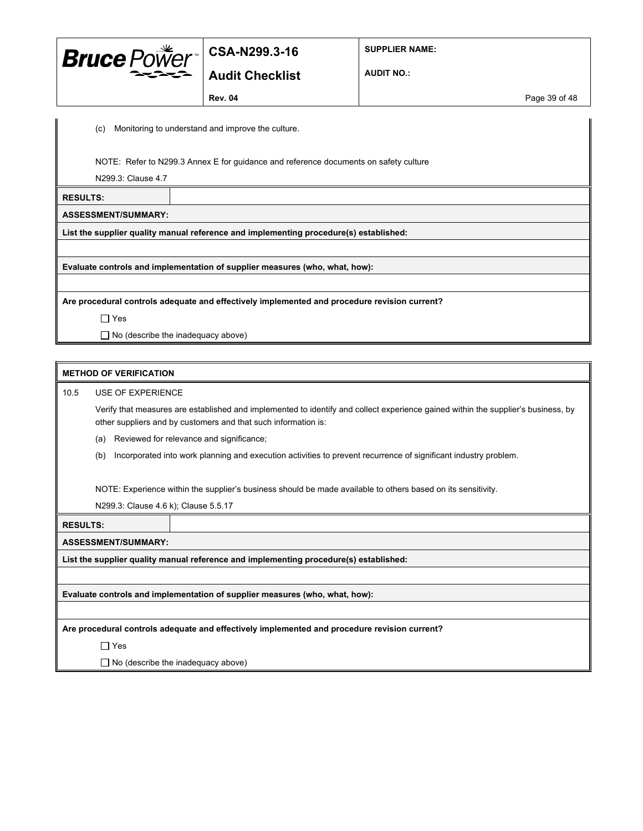

**Audit Checklist**

**SUPPLIER NAME:**

**AUDIT NO.:**

**Rev. 04** Page 39 of 48

(c) Monitoring to understand and improve the culture.

NOTE: Refer to N299.3 Annex E for guidance and reference documents on safety culture

N299.3: Clause 4.7

**RESULTS:**

**ASSESSMENT/SUMMARY:**

**List the supplier quality manual reference and implementing procedure(s) established:**

**Evaluate controls and implementation of supplier measures (who, what, how):**

**Are procedural controls adequate and effectively implemented and procedure revision current?**

□ Yes

 $\Box$  No (describe the inadequacy above)

#### **METHOD OF VERIFICATION**

10.5 USE OF EXPERIENCE

Verify that measures are established and implemented to identify and collect experience gained within the supplier's business, by other suppliers and by customers and that such information is:

(a) Reviewed for relevance and significance;

(b) Incorporated into work planning and execution activities to prevent recurrence of significant industry problem.

NOTE: Experience within the supplier's business should be made available to others based on its sensitivity.

N299.3: Clause 4.6 k); Clause 5.5.17

**RESULTS:**

**ASSESSMENT/SUMMARY:**

**List the supplier quality manual reference and implementing procedure(s) established:**

**Evaluate controls and implementation of supplier measures (who, what, how):**

**Are procedural controls adequate and effectively implemented and procedure revision current?**

□ Yes

 $\Box$  No (describe the inadequacy above)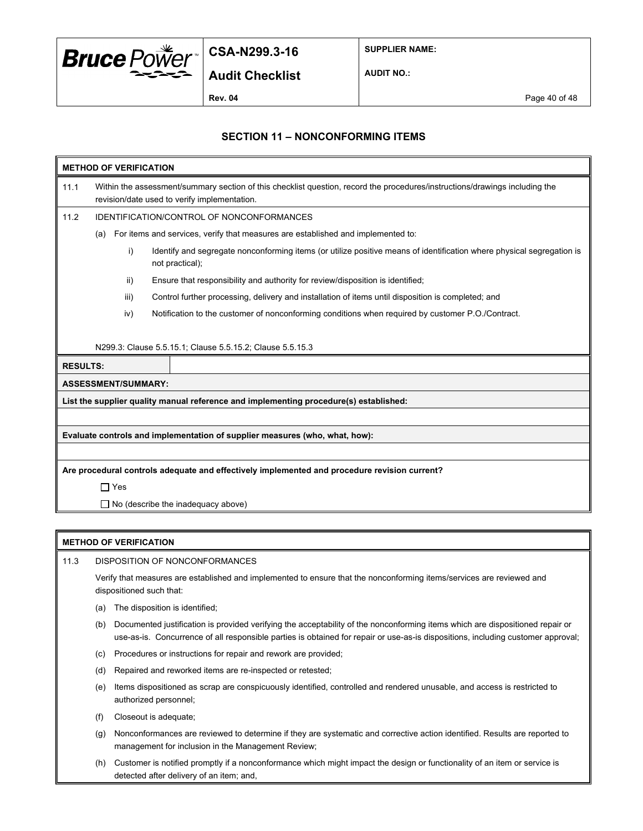

**SUPPLIER NAME:**

**AUDIT NO.:**

**Rev. 04** Page 40 of 48

### **SECTION 11 – NONCONFORMING ITEMS**

| <b>METHOD OF VERIFICATION</b>                                                                |                                                                                                                                                                             |                                                                                                                                          |  |  |
|----------------------------------------------------------------------------------------------|-----------------------------------------------------------------------------------------------------------------------------------------------------------------------------|------------------------------------------------------------------------------------------------------------------------------------------|--|--|
| 11.1                                                                                         | Within the assessment/summary section of this checklist question, record the procedures/instructions/drawings including the<br>revision/date used to verify implementation. |                                                                                                                                          |  |  |
| 11.2                                                                                         |                                                                                                                                                                             | <b>IDENTIFICATION/CONTROL OF NONCONFORMANCES</b>                                                                                         |  |  |
|                                                                                              | (a)                                                                                                                                                                         | For items and services, verify that measures are established and implemented to:                                                         |  |  |
|                                                                                              | i)                                                                                                                                                                          | Identify and segregate nonconforming items (or utilize positive means of identification where physical segregation is<br>not practical); |  |  |
|                                                                                              | ii)                                                                                                                                                                         | Ensure that responsibility and authority for review/disposition is identified;                                                           |  |  |
|                                                                                              | iii)                                                                                                                                                                        | Control further processing, delivery and installation of items until disposition is completed; and                                       |  |  |
|                                                                                              | iv)                                                                                                                                                                         | Notification to the customer of nonconforming conditions when required by customer P.O./Contract.                                        |  |  |
|                                                                                              |                                                                                                                                                                             | N299.3: Clause 5.5.15.1; Clause 5.5.15.2; Clause 5.5.15.3                                                                                |  |  |
| <b>RESULTS:</b>                                                                              |                                                                                                                                                                             |                                                                                                                                          |  |  |
|                                                                                              | <b>ASSESSMENT/SUMMARY:</b>                                                                                                                                                  |                                                                                                                                          |  |  |
| List the supplier quality manual reference and implementing procedure(s) established:        |                                                                                                                                                                             |                                                                                                                                          |  |  |
|                                                                                              |                                                                                                                                                                             |                                                                                                                                          |  |  |
| Evaluate controls and implementation of supplier measures (who, what, how):                  |                                                                                                                                                                             |                                                                                                                                          |  |  |
|                                                                                              |                                                                                                                                                                             |                                                                                                                                          |  |  |
| Are procedural controls adequate and effectively implemented and procedure revision current? |                                                                                                                                                                             |                                                                                                                                          |  |  |
|                                                                                              | $\Box$ Yes                                                                                                                                                                  |                                                                                                                                          |  |  |
|                                                                                              | $\Box$ No (describe the inadequacy above)                                                                                                                                   |                                                                                                                                          |  |  |

#### **METHOD OF VERIFICATION**

11.3 DISPOSITION OF NONCONFORMANCES

Verify that measures are established and implemented to ensure that the nonconforming items/services are reviewed and dispositioned such that:

- (a) The disposition is identified;
- (b) Documented justification is provided verifying the acceptability of the nonconforming items which are dispositioned repair or use-as-is. Concurrence of all responsible parties is obtained for repair or use-as-is dispositions, including customer approval;
- (c) Procedures or instructions for repair and rework are provided;
- (d) Repaired and reworked items are re-inspected or retested;
- (e) Items dispositioned as scrap are conspicuously identified, controlled and rendered unusable, and access is restricted to authorized personnel;
- (f) Closeout is adequate;
- (g) Nonconformances are reviewed to determine if they are systematic and corrective action identified. Results are reported to management for inclusion in the Management Review;
- (h) Customer is notified promptly if a nonconformance which might impact the design or functionality of an item or service is detected after delivery of an item; and,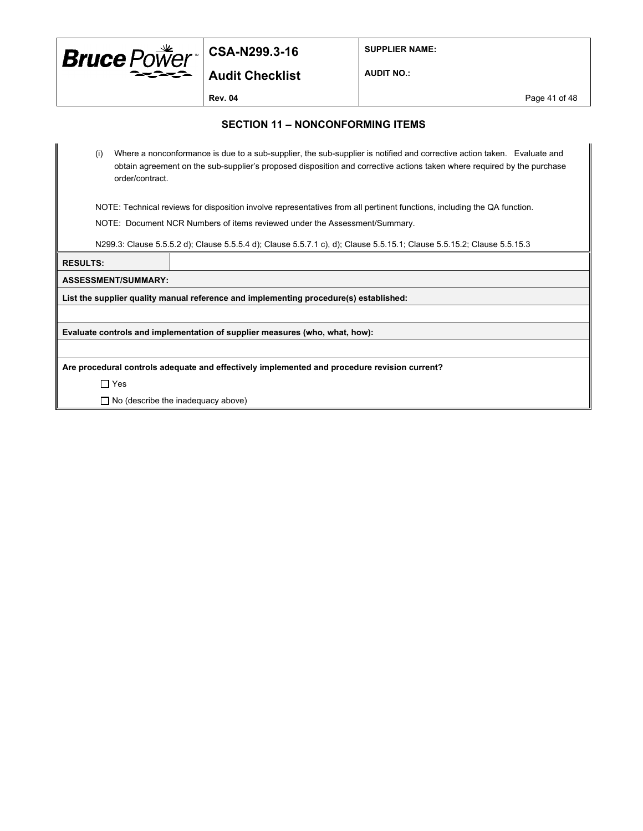

**SUPPLIER NAME:**

**Audit Checklist**

**AUDIT NO.:**

**Rev. 04** Page 41 of 48

#### **SECTION 11 – NONCONFORMING ITEMS**

(i) Where a nonconformance is due to a sub-supplier, the sub-supplier is notified and corrective action taken. Evaluate and obtain agreement on the sub-supplier's proposed disposition and corrective actions taken where required by the purchase order/contract.

NOTE: Technical reviews for disposition involve representatives from all pertinent functions, including the QA function.

NOTE: Document NCR Numbers of items reviewed under the Assessment/Summary.

N299.3: Clause 5.5.5.2 d); Clause 5.5.5.4 d); Clause 5.5.7.1 c), d); Clause 5.5.15.1; Clause 5.5.15.2; Clause 5.5.15.3

#### **RESULTS:**

**ASSESSMENT/SUMMARY:**

**List the supplier quality manual reference and implementing procedure(s) established:**

**Evaluate controls and implementation of supplier measures (who, what, how):**

**Are procedural controls adequate and effectively implemented and procedure revision current?**

Yes

 $\Box$  No (describe the inadequacy above)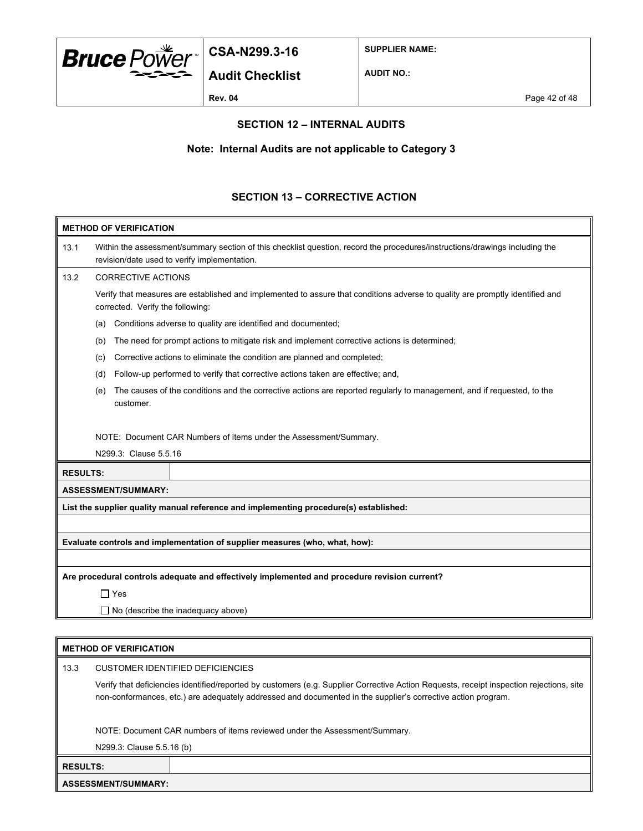

**Audit Checklist**

**SUPPLIER NAME:**

**AUDIT NO.:**

#### **SECTION 12 – INTERNAL AUDITS**

#### **Note: Internal Audits are not applicable to Category 3**

#### **SECTION 13 – CORRECTIVE ACTION**

| <b>METHOD OF VERIFICATION</b>                                                                |                                                                                                                                                                             |                                                                                                                        |  |
|----------------------------------------------------------------------------------------------|-----------------------------------------------------------------------------------------------------------------------------------------------------------------------------|------------------------------------------------------------------------------------------------------------------------|--|
| 13.1                                                                                         | Within the assessment/summary section of this checklist question, record the procedures/instructions/drawings including the<br>revision/date used to verify implementation. |                                                                                                                        |  |
| 13.2                                                                                         | <b>CORRECTIVE ACTIONS</b>                                                                                                                                                   |                                                                                                                        |  |
|                                                                                              | Verify that measures are established and implemented to assure that conditions adverse to quality are promptly identified and<br>corrected. Verify the following:           |                                                                                                                        |  |
|                                                                                              | (a)                                                                                                                                                                         | Conditions adverse to quality are identified and documented;                                                           |  |
|                                                                                              | (b)                                                                                                                                                                         | The need for prompt actions to mitigate risk and implement corrective actions is determined;                           |  |
|                                                                                              | (c)                                                                                                                                                                         | Corrective actions to eliminate the condition are planned and completed;                                               |  |
|                                                                                              | (d)                                                                                                                                                                         | Follow-up performed to verify that corrective actions taken are effective; and,                                        |  |
|                                                                                              | (e)<br>customer.                                                                                                                                                            | The causes of the conditions and the corrective actions are reported regularly to management, and if requested, to the |  |
|                                                                                              | N299.3: Clause 5.5.16                                                                                                                                                       | NOTE: Document CAR Numbers of items under the Assessment/Summary.                                                      |  |
|                                                                                              | <b>RESULTS:</b>                                                                                                                                                             |                                                                                                                        |  |
|                                                                                              | <b>ASSESSMENT/SUMMARY:</b>                                                                                                                                                  |                                                                                                                        |  |
|                                                                                              |                                                                                                                                                                             | List the supplier quality manual reference and implementing procedure(s) established:                                  |  |
|                                                                                              |                                                                                                                                                                             |                                                                                                                        |  |
|                                                                                              |                                                                                                                                                                             | Evaluate controls and implementation of supplier measures (who, what, how):                                            |  |
|                                                                                              |                                                                                                                                                                             |                                                                                                                        |  |
| Are procedural controls adequate and effectively implemented and procedure revision current? |                                                                                                                                                                             |                                                                                                                        |  |
|                                                                                              | $\Box$ Yes                                                                                                                                                                  |                                                                                                                        |  |
|                                                                                              | $\Box$ No (describe the inadequacy above)                                                                                                                                   |                                                                                                                        |  |

#### **METHOD OF VERIFICATION**

13.3 CUSTOMER IDENTIFIED DEFICIENCIES

Verify that deficiencies identified/reported by customers (e.g. Supplier Corrective Action Requests, receipt inspection rejections, site non-conformances, etc.) are adequately addressed and documented in the supplier's corrective action program.

NOTE: Document CAR numbers of items reviewed under the Assessment/Summary.

N299.3: Clause 5.5.16 (b)

**RESULTS:**

**ASSESSMENT/SUMMARY:**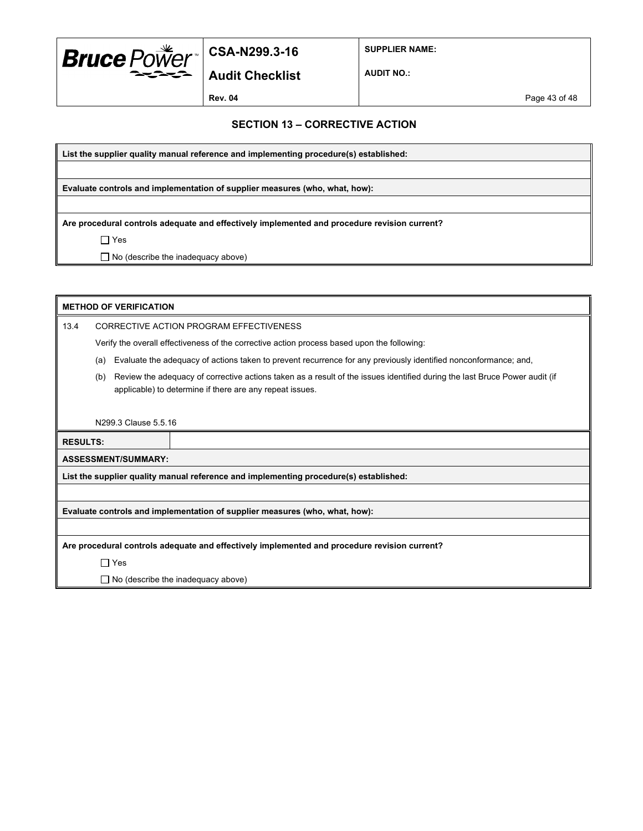

**SUPPLIER NAME:**

**Audit Checklist**

**AUDIT NO.:**

**Rev. 04** Page 43 of 48

#### **SECTION 13 – CORRECTIVE ACTION**

**List the supplier quality manual reference and implementing procedure(s) established:**

**Evaluate controls and implementation of supplier measures (who, what, how):**

**Are procedural controls adequate and effectively implemented and procedure revision current?**

Yes

□ No (describe the inadequacy above)

| <b>METHOD OF VERIFICATION</b>                                                                |                                                                                             |                                                                                                                                                                                        |  |
|----------------------------------------------------------------------------------------------|---------------------------------------------------------------------------------------------|----------------------------------------------------------------------------------------------------------------------------------------------------------------------------------------|--|
| 13.4                                                                                         | CORRECTIVE ACTION PROGRAM EFFECTIVENESS                                                     |                                                                                                                                                                                        |  |
|                                                                                              | Verify the overall effectiveness of the corrective action process based upon the following: |                                                                                                                                                                                        |  |
|                                                                                              | (a)                                                                                         | Evaluate the adequacy of actions taken to prevent recurrence for any previously identified nonconformance; and,                                                                        |  |
|                                                                                              | (b)                                                                                         | Review the adequacy of corrective actions taken as a result of the issues identified during the last Bruce Power audit (if<br>applicable) to determine if there are any repeat issues. |  |
|                                                                                              |                                                                                             |                                                                                                                                                                                        |  |
|                                                                                              | N299.3 Clause 5.5.16                                                                        |                                                                                                                                                                                        |  |
|                                                                                              | <b>RESULTS:</b>                                                                             |                                                                                                                                                                                        |  |
|                                                                                              | <b>ASSESSMENT/SUMMARY:</b>                                                                  |                                                                                                                                                                                        |  |
| List the supplier quality manual reference and implementing procedure(s) established:        |                                                                                             |                                                                                                                                                                                        |  |
|                                                                                              |                                                                                             |                                                                                                                                                                                        |  |
| Evaluate controls and implementation of supplier measures (who, what, how):                  |                                                                                             |                                                                                                                                                                                        |  |
|                                                                                              |                                                                                             |                                                                                                                                                                                        |  |
| Are procedural controls adequate and effectively implemented and procedure revision current? |                                                                                             |                                                                                                                                                                                        |  |
|                                                                                              | $\Box$ Yes                                                                                  |                                                                                                                                                                                        |  |
|                                                                                              | $\Box$ No (describe the inadequacy above)                                                   |                                                                                                                                                                                        |  |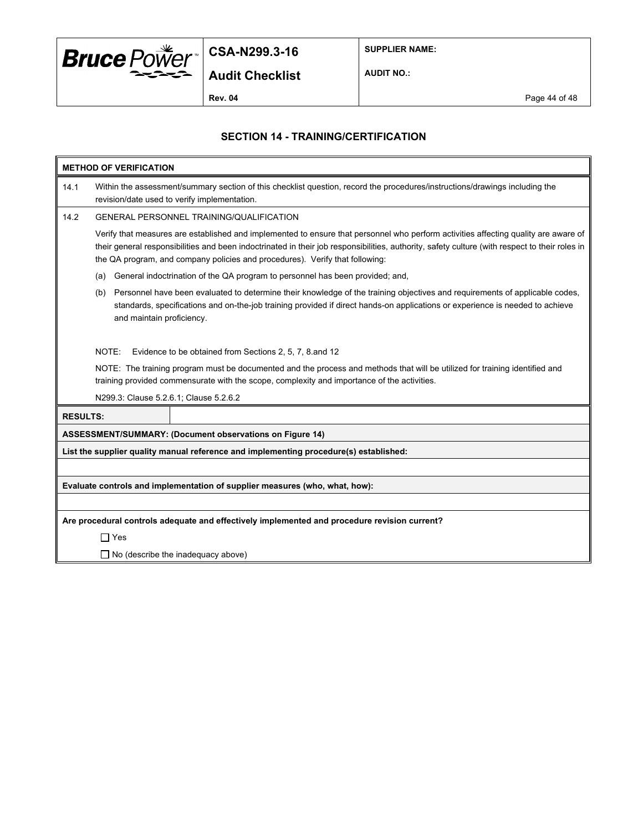

**SUPPLIER NAME:**

**AUDIT NO.:**

### **SECTION 14 - TRAINING/CERTIFICATION**

| <b>METHOD OF VERIFICATION</b> |                                                                                                                                                                                                                                                                                                                                                                       |  |  |
|-------------------------------|-----------------------------------------------------------------------------------------------------------------------------------------------------------------------------------------------------------------------------------------------------------------------------------------------------------------------------------------------------------------------|--|--|
| 14.1                          | Within the assessment/summary section of this checklist question, record the procedures/instructions/drawings including the<br>revision/date used to verify implementation.                                                                                                                                                                                           |  |  |
| 14.2                          | <b>GENERAL PERSONNEL TRAINING/QUALIFICATION</b>                                                                                                                                                                                                                                                                                                                       |  |  |
|                               | Verify that measures are established and implemented to ensure that personnel who perform activities affecting quality are aware of<br>their general responsibilities and been indoctrinated in their job responsibilities, authority, safety culture (with respect to their roles in<br>the QA program, and company policies and procedures). Verify that following: |  |  |
|                               | General indoctrination of the QA program to personnel has been provided; and,<br>(a)                                                                                                                                                                                                                                                                                  |  |  |
|                               | Personnel have been evaluated to determine their knowledge of the training objectives and requirements of applicable codes,<br>(b)<br>standards, specifications and on-the-job training provided if direct hands-on applications or experience is needed to achieve<br>and maintain proficiency.                                                                      |  |  |
|                               | NOTE:<br>Evidence to be obtained from Sections 2, 5, 7, 8 and 12                                                                                                                                                                                                                                                                                                      |  |  |
|                               | NOTE: The training program must be documented and the process and methods that will be utilized for training identified and<br>training provided commensurate with the scope, complexity and importance of the activities.                                                                                                                                            |  |  |
|                               | N299.3: Clause 5.2.6.1; Clause 5.2.6.2                                                                                                                                                                                                                                                                                                                                |  |  |
|                               | <b>RESULTS:</b>                                                                                                                                                                                                                                                                                                                                                       |  |  |
|                               | ASSESSMENT/SUMMARY: (Document observations on Figure 14)                                                                                                                                                                                                                                                                                                              |  |  |
|                               | List the supplier quality manual reference and implementing procedure(s) established:                                                                                                                                                                                                                                                                                 |  |  |
|                               |                                                                                                                                                                                                                                                                                                                                                                       |  |  |
|                               | Evaluate controls and implementation of supplier measures (who, what, how):                                                                                                                                                                                                                                                                                           |  |  |
|                               |                                                                                                                                                                                                                                                                                                                                                                       |  |  |
|                               | Are procedural controls adequate and effectively implemented and procedure revision current?                                                                                                                                                                                                                                                                          |  |  |
|                               | $\Box$ Yes                                                                                                                                                                                                                                                                                                                                                            |  |  |
|                               | $\Box$ No (describe the inadequacy above)                                                                                                                                                                                                                                                                                                                             |  |  |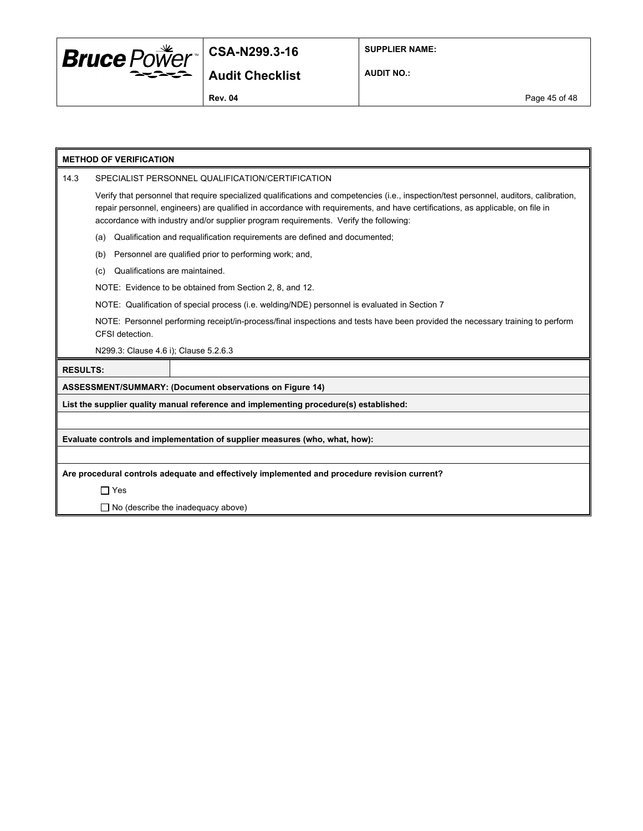

**SUPPLIER NAME:**

**AUDIT NO.:**

**Rev. 04** Page 45 of 48

| <b>METHOD OF VERIFICATION</b>                                                         |                                                                                                                                                                                                                                                                                                                                                                   |  |  |
|---------------------------------------------------------------------------------------|-------------------------------------------------------------------------------------------------------------------------------------------------------------------------------------------------------------------------------------------------------------------------------------------------------------------------------------------------------------------|--|--|
| 14.3                                                                                  | SPECIALIST PERSONNEL QUALIFICATION/CERTIFICATION                                                                                                                                                                                                                                                                                                                  |  |  |
|                                                                                       | Verify that personnel that require specialized qualifications and competencies (i.e., inspection/test personnel, auditors, calibration,<br>repair personnel, engineers) are qualified in accordance with requirements, and have certifications, as applicable, on file in<br>accordance with industry and/or supplier program requirements. Verify the following: |  |  |
|                                                                                       | Qualification and requalification requirements are defined and documented;<br>(a)                                                                                                                                                                                                                                                                                 |  |  |
|                                                                                       | Personnel are qualified prior to performing work; and,<br>(b)                                                                                                                                                                                                                                                                                                     |  |  |
|                                                                                       | Qualifications are maintained.<br>(c)                                                                                                                                                                                                                                                                                                                             |  |  |
|                                                                                       | NOTE: Evidence to be obtained from Section 2, 8, and 12.                                                                                                                                                                                                                                                                                                          |  |  |
|                                                                                       | NOTE: Qualification of special process (i.e. welding/NDE) personnel is evaluated in Section 7                                                                                                                                                                                                                                                                     |  |  |
|                                                                                       | NOTE: Personnel performing receipt/in-process/final inspections and tests have been provided the necessary training to perform<br>CFSI detection.                                                                                                                                                                                                                 |  |  |
|                                                                                       | N299.3: Clause 4.6 i); Clause 5.2.6.3                                                                                                                                                                                                                                                                                                                             |  |  |
| <b>RESULTS:</b>                                                                       |                                                                                                                                                                                                                                                                                                                                                                   |  |  |
|                                                                                       | <b>ASSESSMENT/SUMMARY: (Document observations on Figure 14)</b>                                                                                                                                                                                                                                                                                                   |  |  |
| List the supplier quality manual reference and implementing procedure(s) established: |                                                                                                                                                                                                                                                                                                                                                                   |  |  |
|                                                                                       |                                                                                                                                                                                                                                                                                                                                                                   |  |  |
| Evaluate controls and implementation of supplier measures (who, what, how):           |                                                                                                                                                                                                                                                                                                                                                                   |  |  |
|                                                                                       |                                                                                                                                                                                                                                                                                                                                                                   |  |  |
|                                                                                       | Are procedural controls adequate and effectively implemented and procedure revision current?                                                                                                                                                                                                                                                                      |  |  |
|                                                                                       | $\Box$ Yes                                                                                                                                                                                                                                                                                                                                                        |  |  |
|                                                                                       | $\Box$ No (describe the inadequacy above)                                                                                                                                                                                                                                                                                                                         |  |  |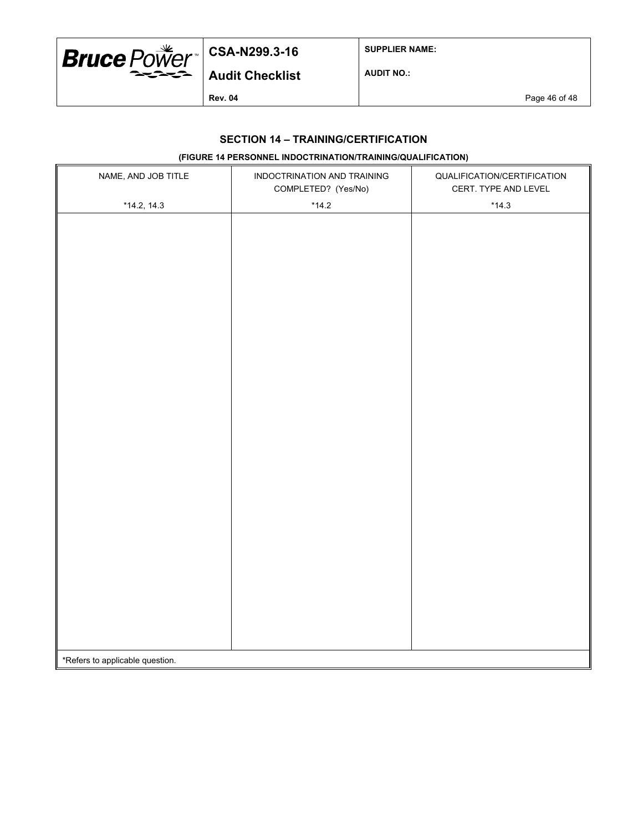

**SUPPLIER NAME:**

**AUDIT NO.:**

**Audit Checklist**

**Rev. 04** Page 46 of 48

### **SECTION 14 – TRAINING/CERTIFICATION**

### **(FIGURE 14 PERSONNEL INDOCTRINATION/TRAINING/QUALIFICATION)**

| NAME, AND JOB TITLE             | INDOCTRINATION AND TRAINING<br>COMPLETED? (Yes/No) | QUALIFICATION/CERTIFICATION<br>CERT. TYPE AND LEVEL |
|---------------------------------|----------------------------------------------------|-----------------------------------------------------|
| $*14.2, 14.3$                   | $*14.2$                                            | $*14.3$                                             |
|                                 |                                                    |                                                     |
|                                 |                                                    |                                                     |
|                                 |                                                    |                                                     |
|                                 |                                                    |                                                     |
|                                 |                                                    |                                                     |
|                                 |                                                    |                                                     |
|                                 |                                                    |                                                     |
|                                 |                                                    |                                                     |
|                                 |                                                    |                                                     |
|                                 |                                                    |                                                     |
|                                 |                                                    |                                                     |
|                                 |                                                    |                                                     |
|                                 |                                                    |                                                     |
|                                 |                                                    |                                                     |
|                                 |                                                    |                                                     |
|                                 |                                                    |                                                     |
|                                 |                                                    |                                                     |
|                                 |                                                    |                                                     |
|                                 |                                                    |                                                     |
|                                 |                                                    |                                                     |
|                                 |                                                    |                                                     |
|                                 |                                                    |                                                     |
|                                 |                                                    |                                                     |
|                                 |                                                    |                                                     |
|                                 |                                                    |                                                     |
|                                 |                                                    |                                                     |
|                                 |                                                    |                                                     |
|                                 |                                                    |                                                     |
| *Refers to applicable question. |                                                    |                                                     |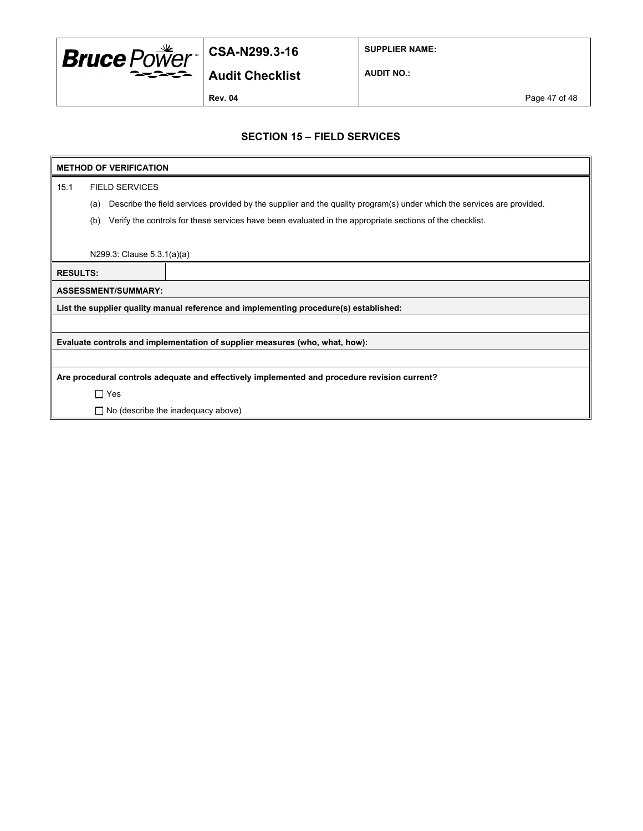

**SUPPLIER NAME:**

**Audit Checklist**

**AUDIT NO.:**

**Rev. 04** Page 47 of 48

#### **SECTION 15 – FIELD SERVICES**

### **METHOD OF VERIFICATION**

15.1 FIELD SERVICES

(a) Describe the field services provided by the supplier and the quality program(s) under which the services are provided.

(b) Verify the controls for these services have been evaluated in the appropriate sections of the checklist.

N299.3: Clause 5.3.1(a)(a)

| <b>RESULTS:</b>                                                                              |                                                                                       |  |  |  |
|----------------------------------------------------------------------------------------------|---------------------------------------------------------------------------------------|--|--|--|
| <b>ASSESSMENT/SUMMARY:</b>                                                                   |                                                                                       |  |  |  |
|                                                                                              | List the supplier quality manual reference and implementing procedure(s) established: |  |  |  |
|                                                                                              |                                                                                       |  |  |  |
| Evaluate controls and implementation of supplier measures (who, what, how):                  |                                                                                       |  |  |  |
|                                                                                              |                                                                                       |  |  |  |
| Are procedural controls adequate and effectively implemented and procedure revision current? |                                                                                       |  |  |  |

□ Yes

 $\Box$  No (describe the inadequacy above)